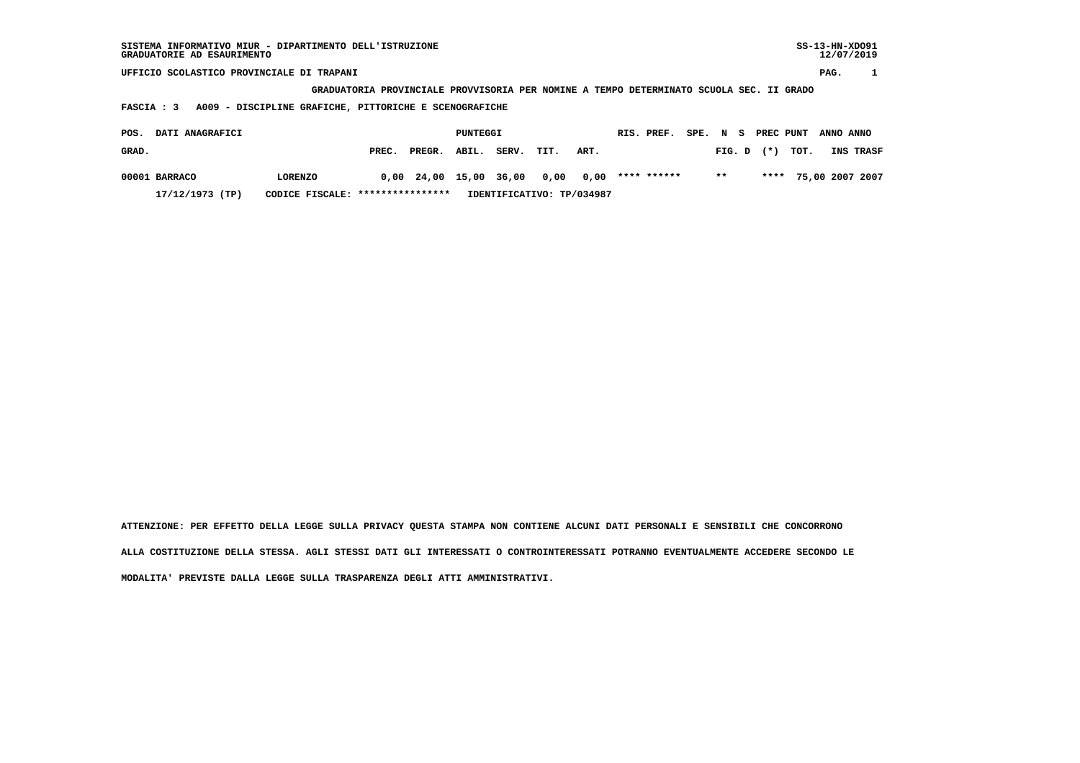| SISTEMA INFORMATIVO MIUR - DIPARTIMENTO DELL'ISTRUZIONE<br>GRADUATORIE AD ESAURIMENTO |                                                                                         |        |          |       |      |                           |             |          |        |           |      | $SS-13-HN-XDO91$ | 12/07/2019      |
|---------------------------------------------------------------------------------------|-----------------------------------------------------------------------------------------|--------|----------|-------|------|---------------------------|-------------|----------|--------|-----------|------|------------------|-----------------|
| UFFICIO SCOLASTICO PROVINCIALE DI TRAPANI                                             |                                                                                         |        |          |       |      |                           |             |          |        |           |      | PAG.             |                 |
|                                                                                       | GRADUATORIA PROVINCIALE PROVVISORIA PER NOMINE A TEMPO DETERMINATO SCUOLA SEC. II GRADO |        |          |       |      |                           |             |          |        |           |      |                  |                 |
| A009 - DISCIPLINE GRAFICHE, PITTORICHE E SCENOGRAFICHE<br><b>FASCIA : 3</b>           |                                                                                         |        |          |       |      |                           |             |          |        |           |      |                  |                 |
|                                                                                       |                                                                                         |        |          |       |      |                           |             |          |        |           |      |                  |                 |
| DATI ANAGRAFICI<br>POS.                                                               |                                                                                         |        | PUNTEGGI |       |      |                           | RIS. PREF.  | SPE. N S |        | PREC PUNT |      | ANNO ANNO        |                 |
| GRAD.                                                                                 | PREC.                                                                                   | PREGR. | ABIL.    | SERV. | TIT. | ART.                      |             |          | FIG. D | $(* )$    | TOT. |                  | INS TRASF       |
| 00001 BARRACO<br><b>LORENZO</b>                                                       | 0,00                                                                                    | 24,00  | 15,00    | 36,00 | 0,00 | 0,00                      | **** ****** |          | $***$  | ****      |      |                  | 75,00 2007 2007 |
| 17/12/1973 (TP)<br>CODICE FISCALE:                                                    | ****************                                                                        |        |          |       |      | IDENTIFICATIVO: TP/034987 |             |          |        |           |      |                  |                 |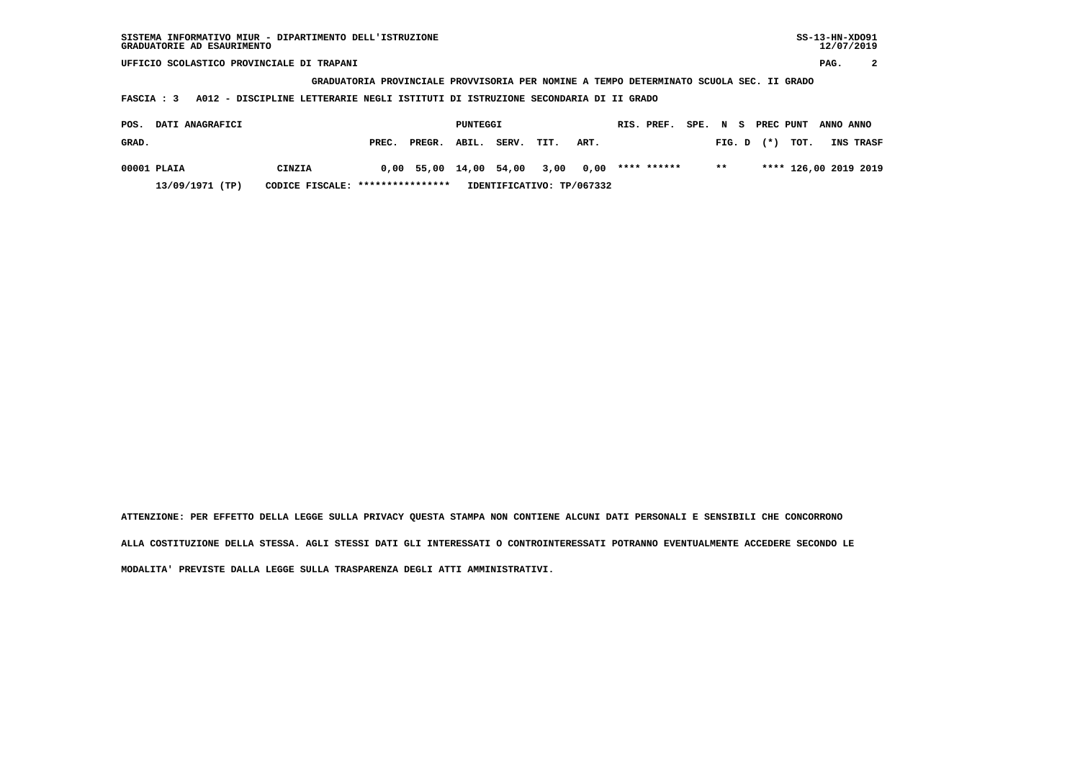**GRADUATORIA PROVINCIALE PROVVISORIA PER NOMINE A TEMPO DETERMINATO SCUOLA SEC. II GRADO**

 **FASCIA : 3 A012 - DISCIPLINE LETTERARIE NEGLI ISTITUTI DI ISTRUZIONE SECONDARIA DI II GRADO**

| <b>DATI ANAGRAFICI</b><br>POS. |                                  |       |                                    | PUNTEGGI |                           |      |      | RIS. PREF.  |       |                | SPE. N S PREC PUNT ANNO ANNO |                  |
|--------------------------------|----------------------------------|-------|------------------------------------|----------|---------------------------|------|------|-------------|-------|----------------|------------------------------|------------------|
| GRAD.                          |                                  | PREC. | PREGR. ABIL.                       |          | SERV.                     | TIT. | ART. |             |       | $FIG. D$ $(*)$ | тот.                         | <b>INS TRASF</b> |
| 00001 PLAIA                    | CINZIA                           |       | $0.00$ 55.00 14.00 54.00 3.00 0.00 |          |                           |      |      | **** ****** | $***$ |                | **** 126,00 2019 2019        |                  |
| 13/09/1971 (TP)                | CODICE FISCALE: **************** |       |                                    |          | IDENTIFICATIVO: TP/067332 |      |      |             |       |                |                              |                  |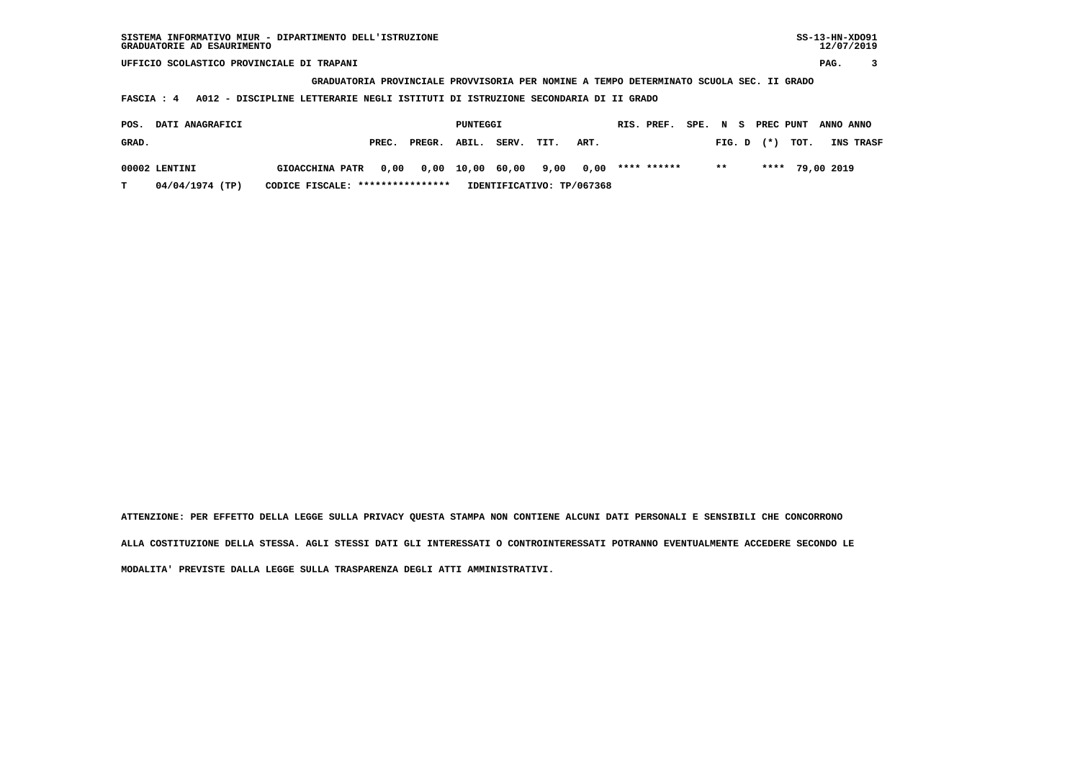**GRADUATORIA PROVINCIALE PROVVISORIA PER NOMINE A TEMPO DETERMINATO SCUOLA SEC. II GRADO**

 **FASCIA : 4 A012 - DISCIPLINE LETTERARIE NEGLI ISTITUTI DI ISTRUZIONE SECONDARIA DI II GRADO**

| POS.  | <b>DATI ANAGRAFICI</b> |                                                             |       |              | PUNTEGGI |       |      |                           | RIS. PREF. |               |  |                | SPE. N S PREC PUNT ANNO ANNO |                  |
|-------|------------------------|-------------------------------------------------------------|-------|--------------|----------|-------|------|---------------------------|------------|---------------|--|----------------|------------------------------|------------------|
| GRAD. |                        |                                                             | PREC. | PREGR. ABIL. |          | SERV. | TIT. | ART.                      |            |               |  | $FIG. D$ $(*)$ | тот.                         | <b>INS TRASF</b> |
|       | 00002 LENTINI          | GIOACCHINA PATR 0,00 0,00 10,00 60,00 9,00 0,00 **** ****** |       |              |          |       |      |                           |            | $\star \star$ |  |                | **** 79,00 2019              |                  |
|       | 04/04/1974 (TP)        | CODICE FISCALE: ****************                            |       |              |          |       |      | IDENTIFICATIVO: TP/067368 |            |               |  |                |                              |                  |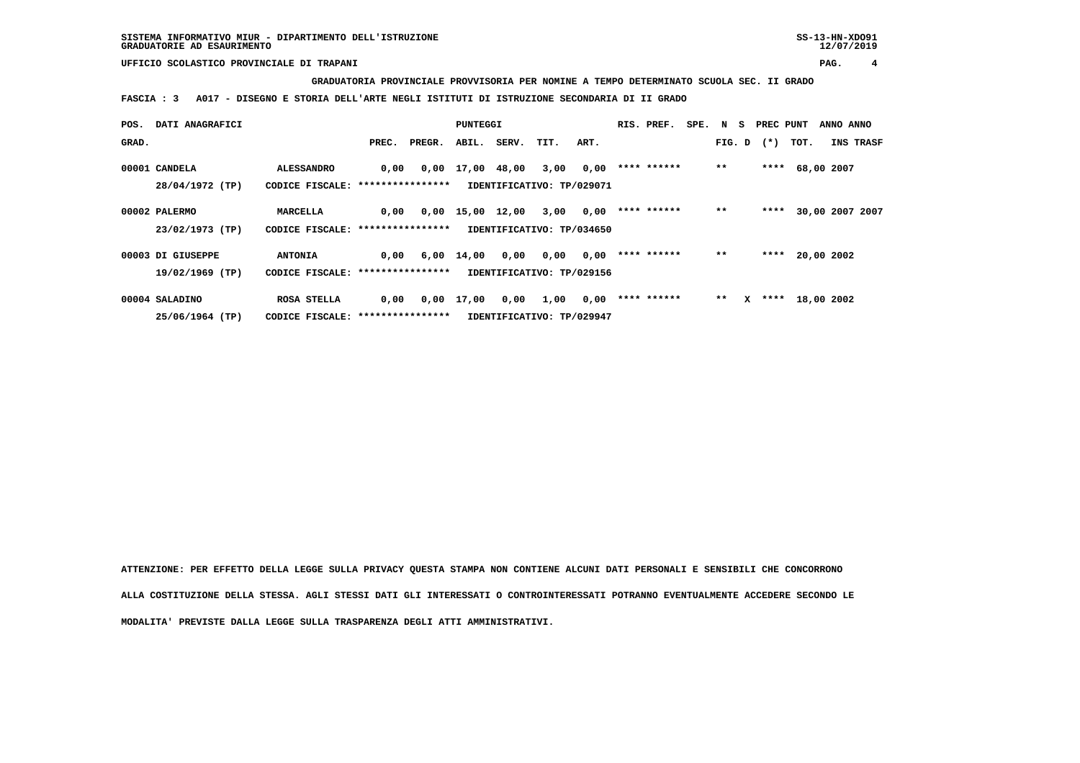**GRADUATORIA PROVINCIALE PROVVISORIA PER NOMINE A TEMPO DETERMINATO SCUOLA SEC. II GRADO**

 **FASCIA : 3 A017 - DISEGNO E STORIA DELL'ARTE NEGLI ISTITUTI DI ISTRUZIONE SECONDARIA DI II GRADO**

| POS.  | DATI ANAGRAFICI   |                                  |       |        | PUNTEGGI                       |       |                           |      | RIS. PREF.  | SPE. N S |        |              | PREC PUNT |                 | ANNO ANNO |                 |
|-------|-------------------|----------------------------------|-------|--------|--------------------------------|-------|---------------------------|------|-------------|----------|--------|--------------|-----------|-----------------|-----------|-----------------|
| GRAD. |                   |                                  | PREC. | PREGR. | ABIL.                          | SERV. | TIT.                      | ART. |             |          | FIG. D |              | $(*)$     | тот.            |           | INS TRASF       |
|       |                   |                                  |       |        |                                |       |                           |      |             |          |        |              |           |                 |           |                 |
|       | 00001 CANDELA     | <b>ALESSANDRO</b>                | 0,00  |        | $0.00 \quad 17.00 \quad 48.00$ |       | 3,00                      | 0,00 | **** ****** |          | $**$   |              |           | **** 68,00 2007 |           |                 |
|       | 28/04/1972 (TP)   | CODICE FISCALE: **************** |       |        |                                |       | IDENTIFICATIVO: TP/029071 |      |             |          |        |              |           |                 |           |                 |
|       |                   |                                  |       |        |                                |       |                           |      |             |          |        |              |           |                 |           |                 |
|       | 00002 PALERMO     | MARCELLA                         | 0,00  |        | $0,00$ 15,00 12,00             |       | 3,00                      | 0,00 | **** ****** |          | $**$   |              | ****      |                 |           | 30,00 2007 2007 |
|       | 23/02/1973 (TP)   | CODICE FISCALE: **************** |       |        |                                |       | IDENTIFICATIVO: TP/034650 |      |             |          |        |              |           |                 |           |                 |
|       |                   |                                  |       |        |                                |       |                           |      |             |          |        |              |           |                 |           |                 |
|       | 00003 DI GIUSEPPE | <b>ANTONIA</b>                   | 0,00  |        | $6,00 \quad 14,00$             | 0,00  | 0,00                      | 0,00 | **** ****** |          | $* *$  |              |           | **** 20,00 2002 |           |                 |
|       | 19/02/1969 (TP)   | CODICE FISCALE: **************** |       |        |                                |       | IDENTIFICATIVO: TP/029156 |      |             |          |        |              |           |                 |           |                 |
|       |                   |                                  |       |        |                                |       |                           |      |             |          |        |              |           |                 |           |                 |
|       | 00004 SALADINO    | ROSA STELLA                      | 0,00  |        | 0,00 17,00                     | 0,00  | 1,00                      | 0,00 | **** ****** |          | $* *$  | $\mathbf{x}$ |           | **** 18,00 2002 |           |                 |
|       | 25/06/1964 (TP)   | CODICE FISCALE: **************** |       |        |                                |       | IDENTIFICATIVO: TP/029947 |      |             |          |        |              |           |                 |           |                 |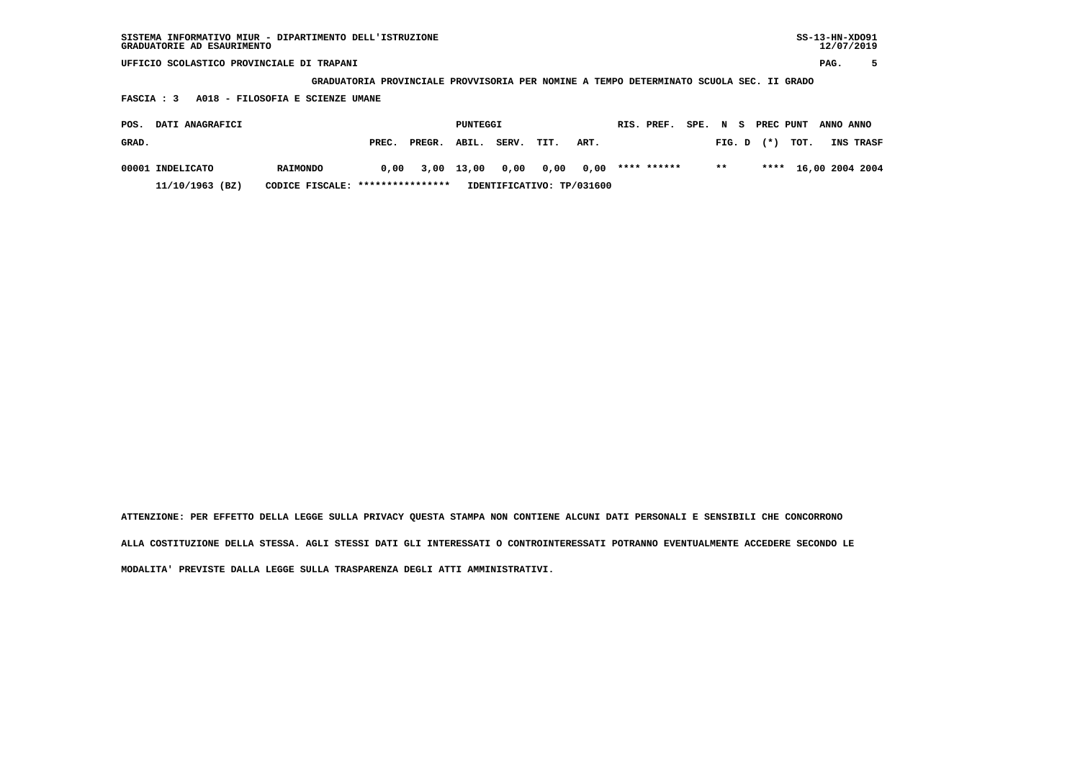**GRADUATORIA PROVINCIALE PROVVISORIA PER NOMINE A TEMPO DETERMINATO SCUOLA SEC. II GRADO**

 **FASCIA : 3 A018 - FILOSOFIA E SCIENZE UMANE**

| POS.  | <b>DATI ANAGRAFICI</b> |                                  |       |            | PUNTEGGI |       |           |                           | RIS. PREF.  | SPE. N S |       |                | PREC PUNT ANNO ANNO  |           |  |
|-------|------------------------|----------------------------------|-------|------------|----------|-------|-----------|---------------------------|-------------|----------|-------|----------------|----------------------|-----------|--|
| GRAD. |                        |                                  | PREC. | PREGR.     | ABIL.    | SERV. | TIT.      | ART.                      |             |          |       | $FIG. D$ $(*)$ | тот.                 | INS TRASF |  |
|       | 00001 INDELICATO       | <b>RAIMONDO</b>                  | 0.00  | 3,00 13,00 |          | 0,00  | 0,00 0,00 |                           | **** ****** |          | $***$ |                | **** 16,00 2004 2004 |           |  |
|       | 11/10/1963 (BZ)        | CODICE FISCALE: **************** |       |            |          |       |           | IDENTIFICATIVO: TP/031600 |             |          |       |                |                      |           |  |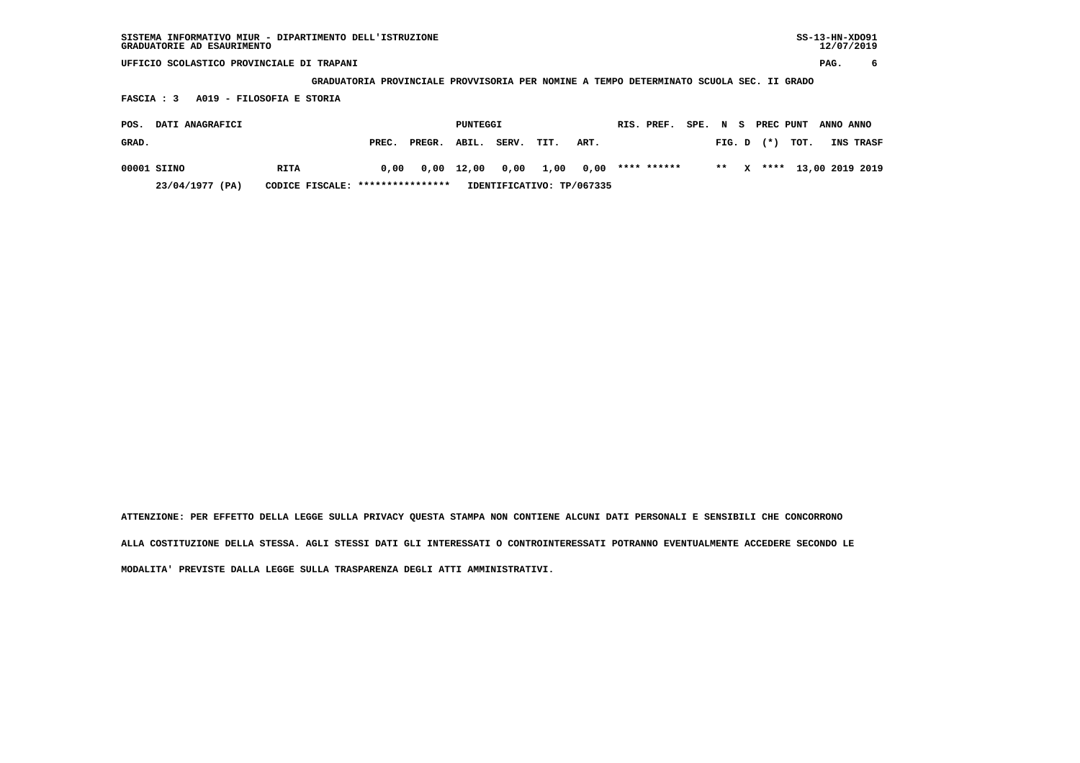**GRADUATORIA PROVINCIALE PROVVISORIA PER NOMINE A TEMPO DETERMINATO SCUOLA SEC. II GRADO**

 **FASCIA : 3 A019 - FILOSOFIA E STORIA**

| POS.  | <b>DATI ANAGRAFICI</b> |                                  |       |              | PUNTEGGI   |            |                            | RIS. PREF. |  |                | SPE. N S PREC PUNT ANNO ANNO |                           |
|-------|------------------------|----------------------------------|-------|--------------|------------|------------|----------------------------|------------|--|----------------|------------------------------|---------------------------|
| GRAD. |                        |                                  | PREC. | PREGR. ABIL. |            | SERV. TIT. | ART.                       |            |  | $FIG. D$ $(*)$ | тот.                         | <b>INS TRASF</b>          |
|       | 00001 SIINO            | RITA                             | 0,00  |              | 0,00 12,00 |            | 0,00 1,00 0,00 **** ****** |            |  |                |                              | ** X **** 13,00 2019 2019 |
|       | 23/04/1977 (PA)        | CODICE FISCALE: **************** |       |              |            |            | IDENTIFICATIVO: TP/067335  |            |  |                |                              |                           |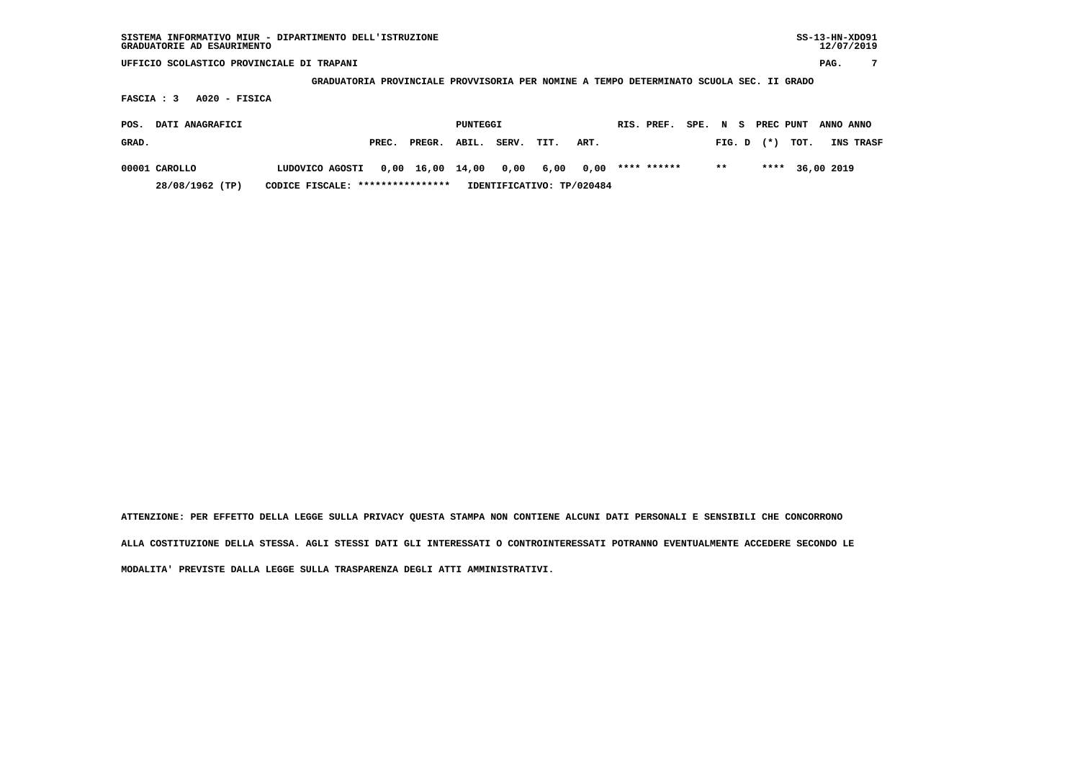**GRADUATORIA PROVINCIALE PROVVISORIA PER NOMINE A TEMPO DETERMINATO SCUOLA SEC. II GRADO**

 **FASCIA : 3 A020 - FISICA**

| POS.  | <b>DATI ANAGRAFICI</b> |                                                             |       |                              | PUNTEGGI |  |                           | RIS. PREF. |       |                | SPE. N S PREC PUNT ANNO ANNO |                  |
|-------|------------------------|-------------------------------------------------------------|-------|------------------------------|----------|--|---------------------------|------------|-------|----------------|------------------------------|------------------|
| GRAD. |                        |                                                             | PREC. | PREGR. ABIL. SERV. TIT. ART. |          |  |                           |            |       | $FIG. D$ $(*)$ | тот.                         | <b>INS TRASF</b> |
|       | 00001 CAROLLO          | LUDOVICO AGOSTI 0,00 16,00 14,00 0,00 6,00 0,00 **** ****** |       |                              |          |  |                           |            | $***$ |                | **** 36,00 2019              |                  |
|       | 28/08/1962 (TP)        | CODICE FISCALE: ****************                            |       |                              |          |  | IDENTIFICATIVO: TP/020484 |            |       |                |                              |                  |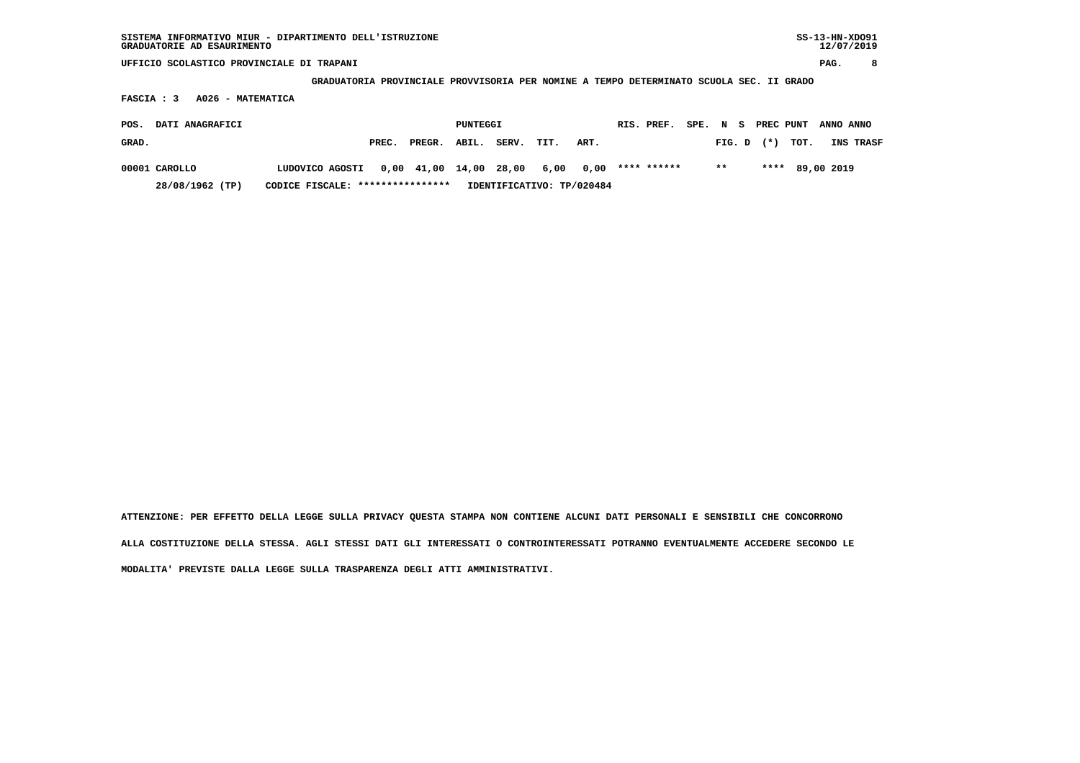**GRADUATORIA PROVINCIALE PROVVISORIA PER NOMINE A TEMPO DETERMINATO SCUOLA SEC. II GRADO**

 **FASCIA : 3 A026 - MATEMATICA**

| POS.  | <b>DATI ANAGRAFICI</b> |                                                              |       |              | PUNTEGGI |       |      |                           | RIS. PREF. |       |                | SPE. N S PREC PUNT ANNO ANNO |           |
|-------|------------------------|--------------------------------------------------------------|-------|--------------|----------|-------|------|---------------------------|------------|-------|----------------|------------------------------|-----------|
| GRAD. |                        |                                                              | PREC. | PREGR. ABIL. |          | SERV. | TIT. | ART.                      |            |       | $FIG. D$ $(*)$ | тот.                         | INS TRASF |
|       | 00001 CAROLLO          | LUDOVICO AGOSTI 0,00 41,00 14,00 28,00 6,00 0,00 **** ****** |       |              |          |       |      |                           |            | $***$ |                | **** 89,00 2019              |           |
|       | 28/08/1962 (TP)        | CODICE FISCALE: ****************                             |       |              |          |       |      | IDENTIFICATIVO: TP/020484 |            |       |                |                              |           |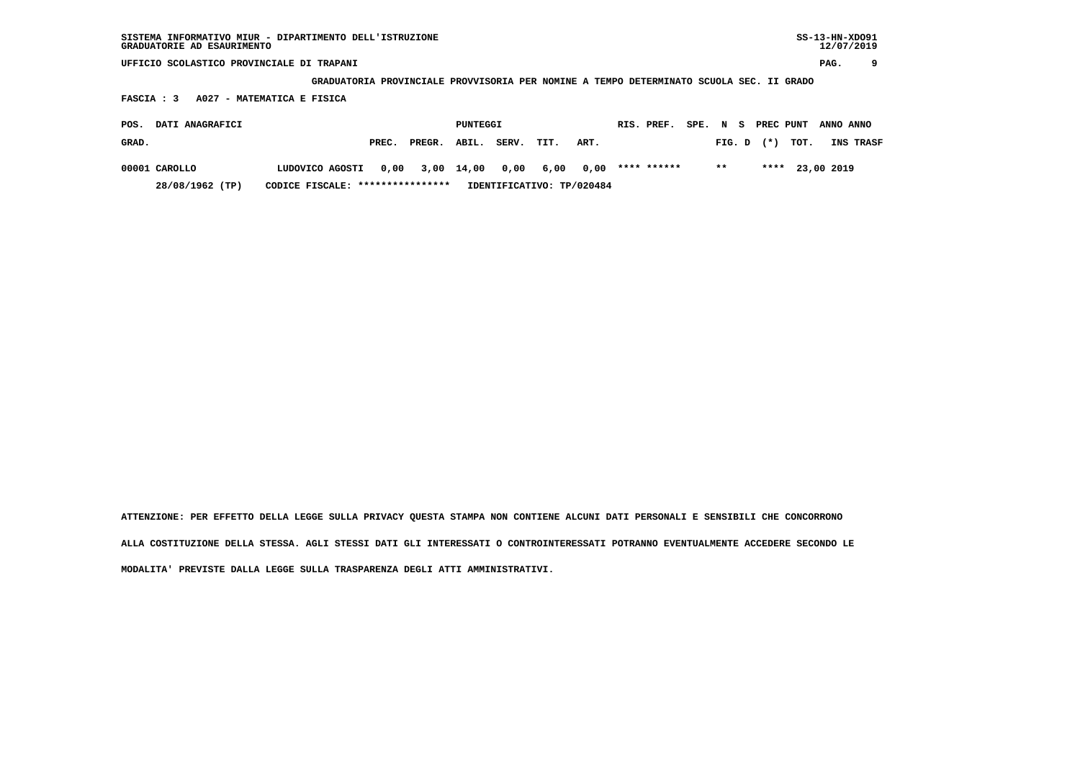**GRADUATORIA PROVINCIALE PROVVISORIA PER NOMINE A TEMPO DETERMINATO SCUOLA SEC. II GRADO**

 **FASCIA : 3 A027 - MATEMATICA E FISICA**

| POS.  | <b>DATI ANAGRAFICI</b> |                                  |       |                                              | PUNTEGGI |       |      |                           | RIS. PREF. |       |                | SPE. N S PREC PUNT ANNO ANNO |                  |
|-------|------------------------|----------------------------------|-------|----------------------------------------------|----------|-------|------|---------------------------|------------|-------|----------------|------------------------------|------------------|
| GRAD. |                        |                                  | PREC. | PREGR. ABIL.                                 |          | SERV. | TIT. | ART.                      |            |       | $FIG. D$ $(*)$ | тот.                         | <b>INS TRASF</b> |
|       | 00001 CAROLLO          | LUDOVICO AGOSTI                  |       | $0,00$ 3,00 14,00 0,00 6,00 0,00 **** ****** |          |       |      |                           |            | $***$ |                | **** 23,00 2019              |                  |
|       | 28/08/1962 (TP)        | CODICE FISCALE: **************** |       |                                              |          |       |      | IDENTIFICATIVO: TP/020484 |            |       |                |                              |                  |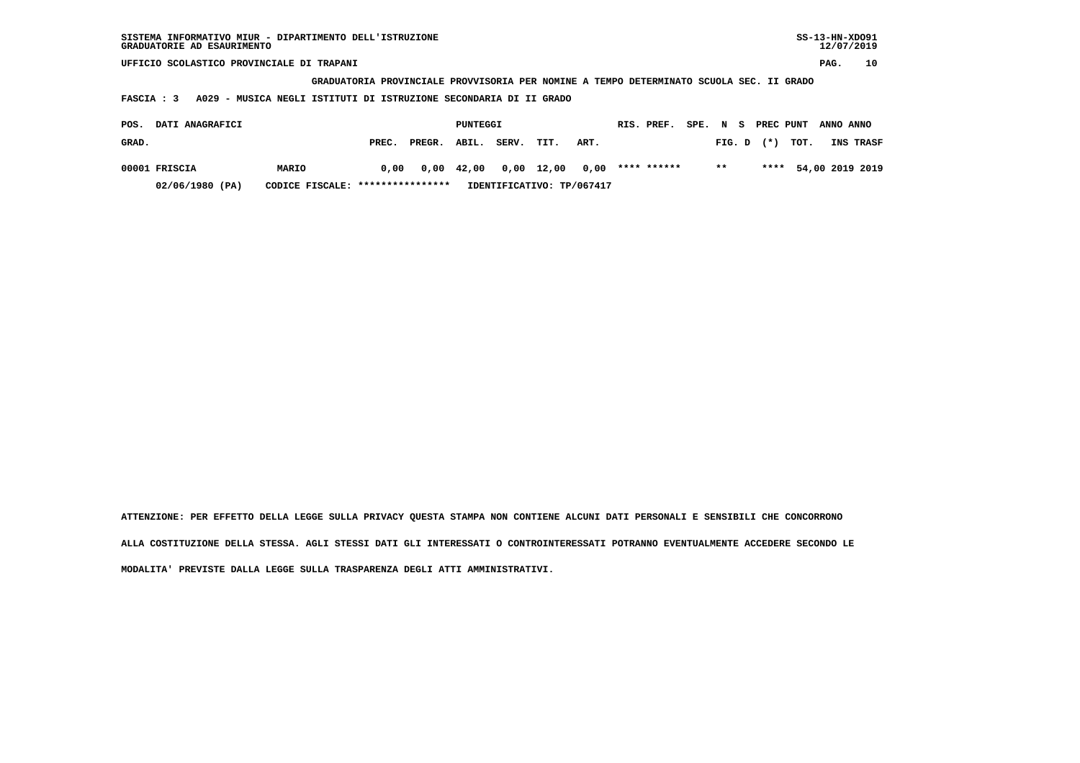| SISTEMA INFORMATIVO MIUR - DIPARTIMENTO DELL'ISTRUZIONE | SS-13-HN-XD091 |
|---------------------------------------------------------|----------------|
| GRADUATORIE AD ESAURIMENTO                              | 12/07/2019     |

 **GRADUATORIA PROVINCIALE PROVVISORIA PER NOMINE A TEMPO DETERMINATO SCUOLA SEC. II GRADO**

 **FASCIA : 3 A029 - MUSICA NEGLI ISTITUTI DI ISTRUZIONE SECONDARIA DI II GRADO**

| POS.          | <b>DATI ANAGRAFICI</b> |                                  |       |                                        | PUNTEGGI |            |                           |      | RIS. PREF. |       |                | SPE. N S PREC PUNT ANNO ANNO |                  |
|---------------|------------------------|----------------------------------|-------|----------------------------------------|----------|------------|---------------------------|------|------------|-------|----------------|------------------------------|------------------|
| GRAD.         |                        |                                  | PREC. | PREGR. ABIL.                           |          | SERV. TIT. |                           | ART. |            |       | $FIG. D$ $(*)$ | тот.                         | <b>INS TRASF</b> |
| 00001 FRISCIA |                        | MARIO                            | 0,00  | 0,00 42,00 0,00 12,00 0,00 **** ****** |          |            |                           |      |            | $***$ |                | **** 54,00 2019 2019         |                  |
|               | 02/06/1980 (PA)        | CODICE FISCALE: **************** |       |                                        |          |            | IDENTIFICATIVO: TP/067417 |      |            |       |                |                              |                  |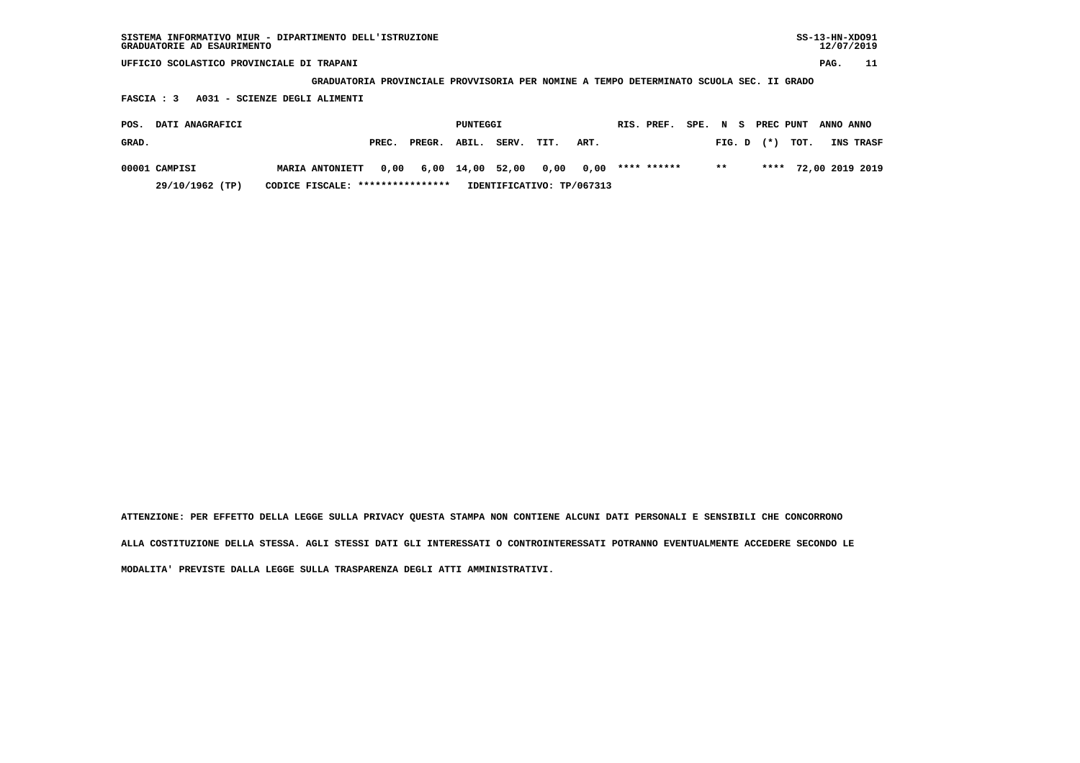| SISTEMA INFORMATIVO MIUR - DIPARTIMENTO DELL'ISTRUZIONE | SS-13-HN-XD091 |
|---------------------------------------------------------|----------------|
| GRADUATORIE AD ESAURIMENTO                              | 12/07/2019     |

 **GRADUATORIA PROVINCIALE PROVVISORIA PER NOMINE A TEMPO DETERMINATO SCUOLA SEC. II GRADO**

 **FASCIA : 3 A031 - SCIENZE DEGLI ALIMENTI**

| POS.  | <b>DATI ANAGRAFICI</b> |                                  |       |                                 | PUNTEGGI |                           |      |      | RIS. PREF.  | SPE. N S |       |                | PREC PUNT ANNO ANNO |                      |
|-------|------------------------|----------------------------------|-------|---------------------------------|----------|---------------------------|------|------|-------------|----------|-------|----------------|---------------------|----------------------|
| GRAD. |                        |                                  | PREC. | PREGR. ABIL.                    |          | SERV.                     | TIT. | ART. |             |          |       | $FIG. D$ $(*)$ | тот.                | <b>INS TRASF</b>     |
|       | 00001 CAMPISI          | <b>MARIA ANTONIETT</b>           |       | 0,00 6,00 14,00 52,00 0,00 0,00 |          |                           |      |      | **** ****** |          | $***$ |                |                     | **** 72,00 2019 2019 |
|       | 29/10/1962 (TP)        | CODICE FISCALE: **************** |       |                                 |          | IDENTIFICATIVO: TP/067313 |      |      |             |          |       |                |                     |                      |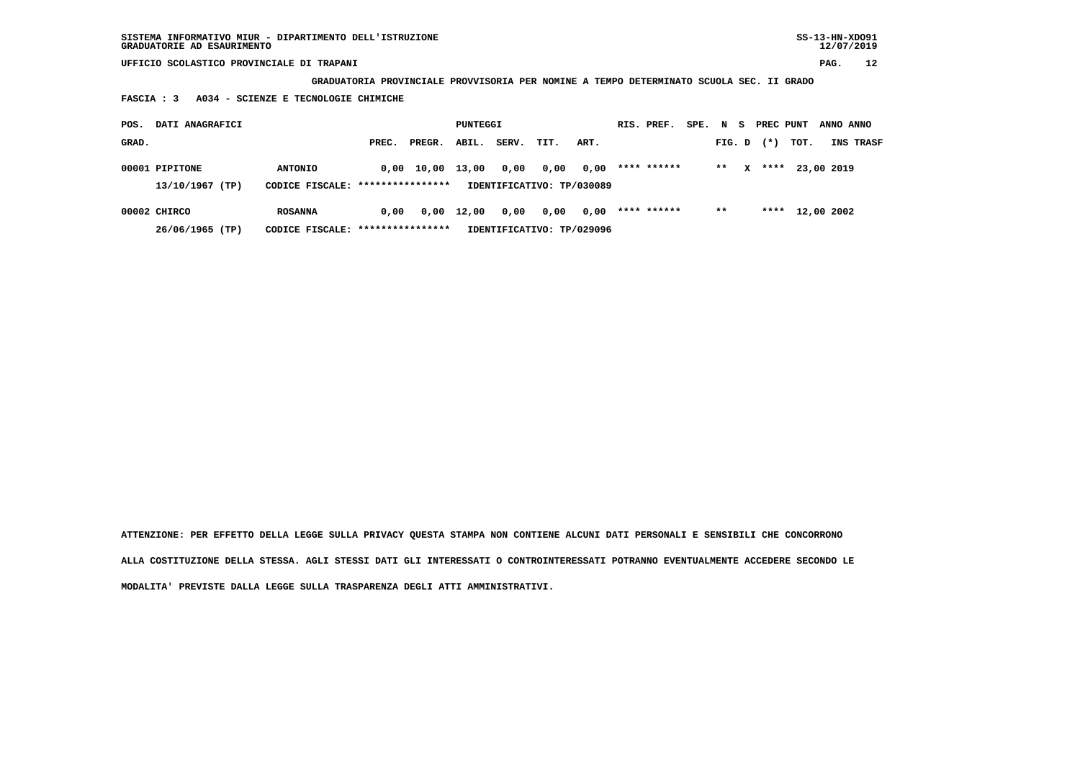**GRADUATORIA PROVINCIALE PROVVISORIA PER NOMINE A TEMPO DETERMINATO SCUOLA SEC. II GRADO**

 **FASCIA : 3 A034 - SCIENZE E TECNOLOGIE CHIMICHE**

| POS.  | DATI ANAGRAFICI                   |                                                     |       |        | PUNTEGGI           |                                   |      |      | RIS. PREF.  | SPE. N S |        |   | PREC PUNT |            | ANNO ANNO  |                  |
|-------|-----------------------------------|-----------------------------------------------------|-------|--------|--------------------|-----------------------------------|------|------|-------------|----------|--------|---|-----------|------------|------------|------------------|
| GRAD. |                                   |                                                     | PREC. | PREGR. | ABIL.              | SERV.                             | TIT. | ART. |             |          | FIG. D |   | $(*)$     | тот.       |            | <b>INS TRASF</b> |
|       | 00001 PIPITONE<br>13/10/1967 (TP) | <b>ANTONIO</b><br>CODICE FISCALE: ****************  | 0,00  | 10,00  | 13,00              | 0,00<br>IDENTIFICATIVO: TP/030089 | 0,00 | 0,00 | **** ****** |          | $* *$  | x | ****      |            | 23,00 2019 |                  |
|       | 00002 CHIRCO<br>26/06/1965 (TP)   | <b>ROSANNA</b><br>CODICE FISCALE: ***************** | 0.00  |        | $0,00 \quad 12,00$ | 0,00<br>IDENTIFICATIVO: TP/029096 | 0,00 | 0,00 | **** ****** |          | $***$  |   | ****      | 12,00 2002 |            |                  |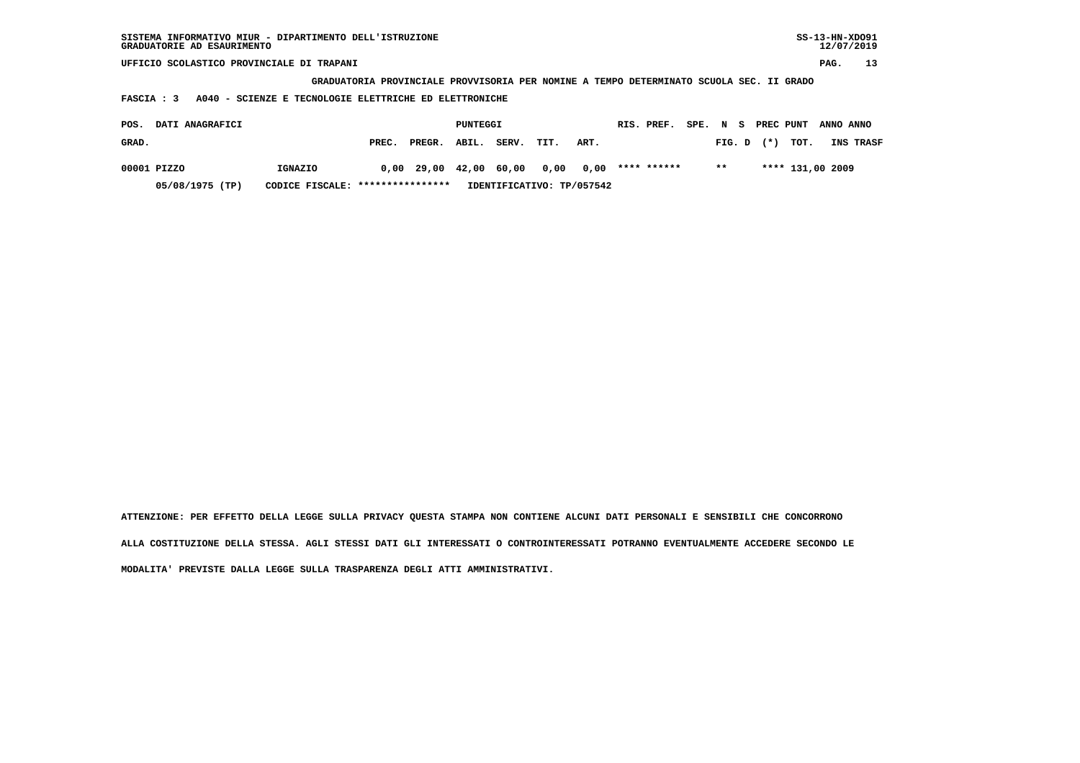| SISTEMA INFORMATIVO MIUR - DIPARTIMENTO DELL'ISTRUZIONE<br>GRADUATORIE AD ESAURIMENTO |                                                                                         |        |          |       |      |                           |             |      |        |           |                  | $SS-13-HN-XDO91$ | 12/07/2019 |
|---------------------------------------------------------------------------------------|-----------------------------------------------------------------------------------------|--------|----------|-------|------|---------------------------|-------------|------|--------|-----------|------------------|------------------|------------|
| UFFICIO SCOLASTICO PROVINCIALE DI TRAPANI                                             |                                                                                         |        |          |       |      |                           |             |      |        |           |                  | PAG.             | 13         |
|                                                                                       | GRADUATORIA PROVINCIALE PROVVISORIA PER NOMINE A TEMPO DETERMINATO SCUOLA SEC. II GRADO |        |          |       |      |                           |             |      |        |           |                  |                  |            |
| A040 - SCIENZE E TECNOLOGIE ELETTRICHE ED ELETTRONICHE<br>FASCIA : 3                  |                                                                                         |        |          |       |      |                           |             |      |        |           |                  |                  |            |
|                                                                                       |                                                                                         |        |          |       |      |                           |             |      |        |           |                  |                  |            |
| DATI ANAGRAFICI<br>POS.                                                               |                                                                                         |        | PUNTEGGI |       |      |                           | RIS. PREF.  | SPE. | N S    | PREC PUNT |                  | ANNO ANNO        |            |
| GRAD.                                                                                 | PREC.                                                                                   | PREGR. | ABIL.    | SERV. | TIT. | ART.                      |             |      | FIG. D | $(* )$    | TOT.             |                  | INS TRASF  |
| 00001 PIZZO<br>IGNAZIO                                                                | 0,00                                                                                    | 29,00  | 42,00    | 60,00 | 0,00 | 0,00                      | **** ****** |      | $***$  |           | **** 131,00 2009 |                  |            |
| 05/08/1975 (TP)<br>CODICE FISCALE:                                                    | ****************                                                                        |        |          |       |      | IDENTIFICATIVO: TP/057542 |             |      |        |           |                  |                  |            |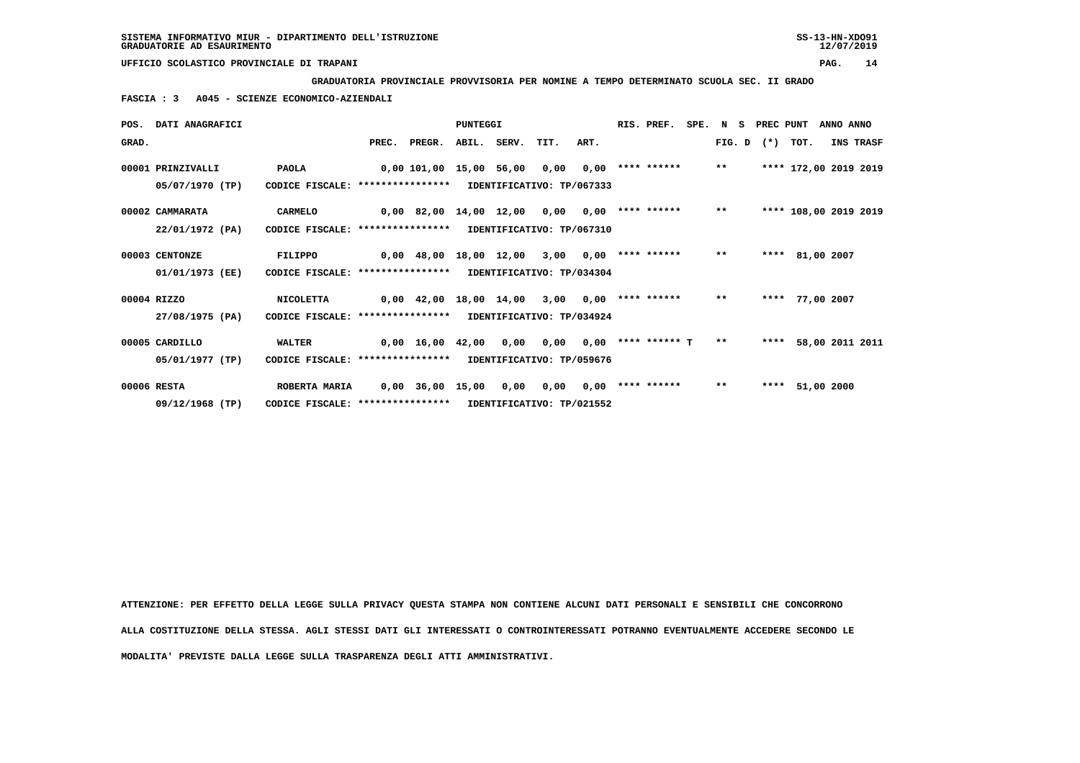**GRADUATORIA PROVINCIALE PROVVISORIA PER NOMINE A TEMPO DETERMINATO SCUOLA SEC. II GRADO**

 **FASCIA : 3 A045 - SCIENZE ECONOMICO-AZIENDALI**

|       | POS. DATI ANAGRAFICI |                                                            |       |                             | PUNTEGGI |             |                           |                                | RIS. PREF.            |       | SPE. N S PREC PUNT |                       | ANNO ANNO |           |
|-------|----------------------|------------------------------------------------------------|-------|-----------------------------|----------|-------------|---------------------------|--------------------------------|-----------------------|-------|--------------------|-----------------------|-----------|-----------|
| GRAD. |                      |                                                            | PREC. | PREGR.                      |          | ABIL. SERV. | TIT.                      | ART.                           |                       |       | $FIG. D$ $(*)$     | TOT.                  |           | INS TRASF |
|       | 00001 PRINZIVALLI    | <b>PAOLA</b>                                               |       | 0,00 101,00 15,00 56,00     |          |             | 0,00                      |                                | $0,00$ **** ******    | $***$ |                    | **** 172,00 2019 2019 |           |           |
|       | 05/07/1970 (TP)      | CODICE FISCALE: *****************                          |       |                             |          |             | IDENTIFICATIVO: TP/067333 |                                |                       |       |                    |                       |           |           |
|       | 00002 CAMMARATA      | <b>CARMELO</b>                                             |       | 0,00 82,00 14,00 12,00 0,00 |          |             |                           |                                | $0,00$ **** ****** ** |       |                    | **** 108,00 2019 2019 |           |           |
|       | 22/01/1972 (PA)      | CODICE FISCALE: *****************                          |       |                             |          |             | IDENTIFICATIVO: TP/067310 |                                |                       |       |                    |                       |           |           |
|       | 00003 CENTONZE       | FILIPPO                                                    |       | 0,00 48,00 18,00 12,00 3,00 |          |             |                           |                                | $0,00$ **** ******    | $***$ |                    | **** 81,00 2007       |           |           |
|       | 01/01/1973 (EE)      | CODICE FISCALE: **************** IDENTIFICATIVO: TP/034304 |       |                             |          |             |                           |                                |                       |       |                    |                       |           |           |
|       | 00004 RIZZO          | <b>NICOLETTA</b>                                           |       | 0,00 42,00 18,00 14,00      |          |             | 3,00                      |                                | $0,00$ **** ****** ** |       |                    | **** 77,00 2007       |           |           |
|       | 27/08/1975 (PA)      | CODICE FISCALE: **************** IDENTIFICATIVO: TP/034924 |       |                             |          |             |                           |                                |                       |       |                    |                       |           |           |
|       | 00005 CARDILLO       | <b>WALTER</b>                                              |       | 0,00 16,00 42,00 0,00       |          |             |                           | $0,00$ $0,00$ **** ****** T ** |                       |       |                    | **** 58,00 2011 2011  |           |           |
|       | 05/01/1977 (TP)      | CODICE FISCALE: **************** IDENTIFICATIVO: TP/059676 |       |                             |          |             |                           |                                |                       |       |                    |                       |           |           |
|       | 00006 RESTA          | ROBERTA MARIA                                              |       | 0,00 36,00                  | 15,00    | 0,00        | 0.00                      |                                | $0,00$ **** ******    | $***$ |                    | **** 51,00 2000       |           |           |
|       | 09/12/1968 (TP)      | CODICE FISCALE: *****************                          |       |                             |          |             | IDENTIFICATIVO: TP/021552 |                                |                       |       |                    |                       |           |           |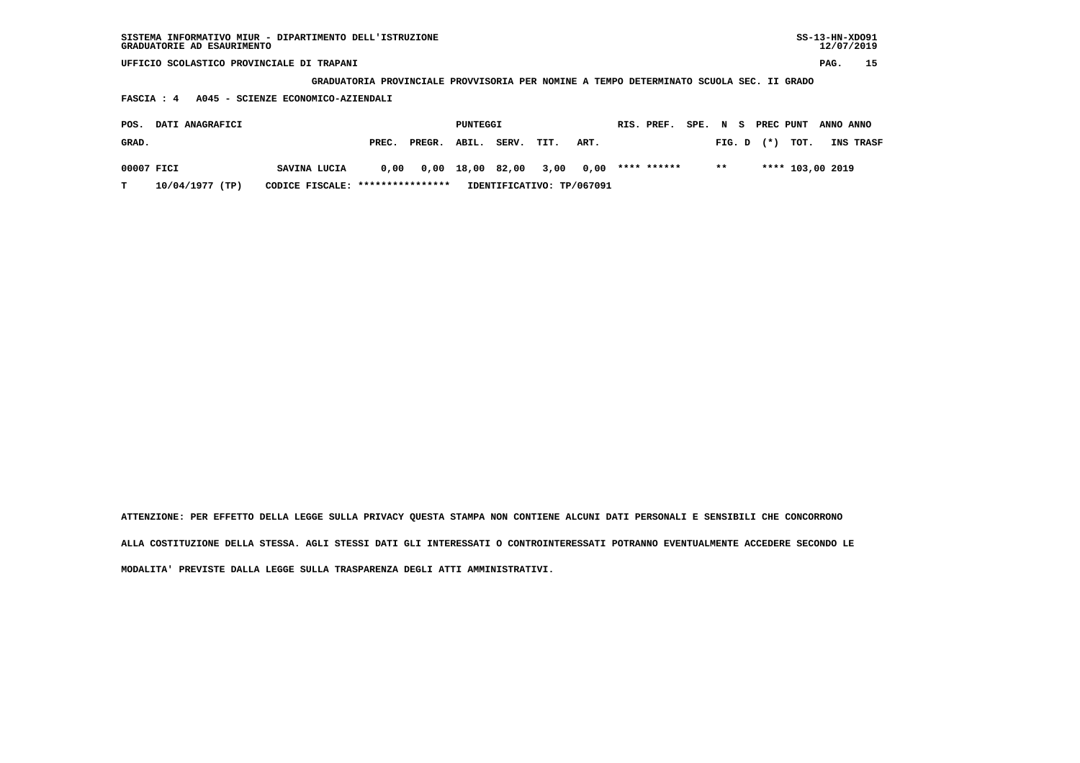| SISTEMA INFORMATIVO MIUR - DIPARTIMENTO DELL'ISTRUZIONE<br>GRADUATORIE AD ESAURIMENTO |                                                                    |       |        |          |       |      |      |            |             |      |                  |       |                      | $SS-13-HN-XDO91$<br>12/07/2019 |           |
|---------------------------------------------------------------------------------------|--------------------------------------------------------------------|-------|--------|----------|-------|------|------|------------|-------------|------|------------------|-------|----------------------|--------------------------------|-----------|
| UFFICIO SCOLASTICO PROVINCIALE DI TRAPANI                                             |                                                                    |       |        |          |       |      |      |            |             |      |                  |       |                      | PAG.                           | 15        |
|                                                                                       | GRADUATORIA PROVINCIALE PROVVISORIA PER NOMINE A TEMPO DETERMINATO |       |        |          |       |      |      |            |             |      |                  |       | SCUOLA SEC. II GRADO |                                |           |
| FASCIA : 4                                                                            | A045 - SCIENZE ECONOMICO-AZIENDALI                                 |       |        |          |       |      |      |            |             |      |                  |       |                      |                                |           |
| DATI ANAGRAFICI<br>POS.                                                               |                                                                    |       |        | PUNTEGGI |       |      |      | RIS. PREF. |             | SPE. | $\mathbf N$<br>s |       | PREC PUNT            | ANNO ANNO                      |           |
| GRAD.                                                                                 |                                                                    | PREC. | PREGR. | ABIL.    | SERV. | TIT. | ART. |            |             |      | FIG. D           | $(*)$ | TOT.                 |                                | INS TRASF |
|                                                                                       |                                                                    |       |        |          |       |      |      |            |             |      |                  |       |                      |                                |           |
| 00007 FICI                                                                            | SAVINA LUCIA                                                       | 0,00  | 0,00   | 18,00    | 82,00 | 3,00 | 0,00 |            | **** ****** |      | $* *$            |       | **** 103,00 2019     |                                |           |

 **T 10/04/1977 (TP) CODICE FISCALE: \*\*\*\*\*\*\*\*\*\*\*\*\*\*\*\* IDENTIFICATIVO: TP/067091**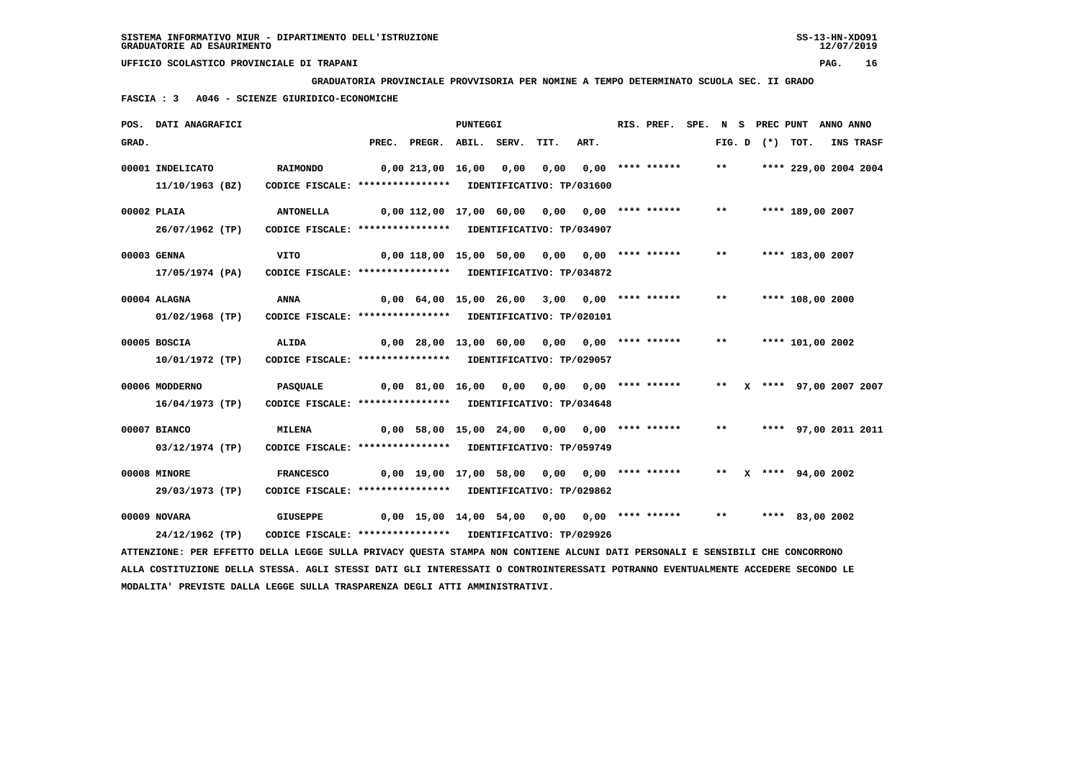**GRADUATORIA PROVINCIALE PROVVISORIA PER NOMINE A TEMPO DETERMINATO SCUOLA SEC. II GRADO**

 **FASCIA : 3 A046 - SCIENZE GIURIDICO-ECONOMICHE**

|       | POS. DATI ANAGRAFICI                                                                                                            |                                                            |                       |                                                 | <b>PUNTEGGI</b> |      |                           | RIS. PREF.       |       |                   | SPE. N S PREC PUNT ANNO ANNO |           |
|-------|---------------------------------------------------------------------------------------------------------------------------------|------------------------------------------------------------|-----------------------|-------------------------------------------------|-----------------|------|---------------------------|------------------|-------|-------------------|------------------------------|-----------|
| GRAD. |                                                                                                                                 |                                                            |                       | PREC. PREGR. ABIL. SERV.                        |                 | TIT. | ART.                      |                  |       | FIG. D $(*)$ TOT. |                              | INS TRASF |
|       | 00001 INDELICATO                                                                                                                | <b>RAIMONDO</b>                                            |                       | 0,00 213,00 16,00 0,00                          |                 | 0,00 |                           | 0,00 **** ****** | $***$ |                   | **** 229,00 2004 2004        |           |
|       | 11/10/1963 (BZ)                                                                                                                 | CODICE FISCALE: **************** IDENTIFICATIVO: TP/031600 |                       |                                                 |                 |      |                           |                  |       |                   |                              |           |
|       | 00002 PLAIA                                                                                                                     | <b>ANTONELLA</b>                                           |                       | $0,00$ 112,00 17,00 60,00 0,00 0,00 **** ****** |                 |      |                           |                  | $***$ |                   | **** 189,00 2007             |           |
|       | 26/07/1962 (TP)                                                                                                                 | CODICE FISCALE: **************** IDENTIFICATIVO: TP/034907 |                       |                                                 |                 |      |                           |                  |       |                   |                              |           |
|       | 00003 GENNA                                                                                                                     | <b>VITO</b>                                                |                       | $0,00$ 118,00 15,00 50,00 0,00 0,00 **** ****** |                 |      |                           |                  | $***$ |                   | **** 183,00 2007             |           |
|       | 17/05/1974 (PA)                                                                                                                 | CODICE FISCALE: **************** IDENTIFICATIVO: TP/034872 |                       |                                                 |                 |      |                           |                  |       |                   |                              |           |
|       | 00004 ALAGNA                                                                                                                    | ANNA                                                       |                       | 0,00 64,00 15,00 26,00 3,00 0,00 **** ******    |                 |      |                           |                  | $***$ |                   | **** 108,00 2000             |           |
|       | $01/02/1968$ (TP)                                                                                                               | CODICE FISCALE: **************** IDENTIFICATIVO: TP/020101 |                       |                                                 |                 |      |                           |                  |       |                   |                              |           |
|       | 00005 BOSCIA                                                                                                                    | ALIDA                                                      |                       | 0,00 28,00 13,00 60,00 0,00 0,00 **** ******    |                 |      |                           |                  | $***$ |                   | **** 101,00 2002             |           |
|       | 10/01/1972 (TP)                                                                                                                 | CODICE FISCALE: **************** IDENTIFICATIVO: TP/029057 |                       |                                                 |                 |      |                           |                  |       |                   |                              |           |
|       | 00006 MODDERNO                                                                                                                  | PASQUALE                                                   | 0,00 81,00 16,00 0,00 |                                                 |                 |      | $0,00$ $0,00$ **** ****** |                  | $***$ |                   | X **** 97,00 2007 2007       |           |
|       | 16/04/1973 (TP)                                                                                                                 | CODICE FISCALE: **************** IDENTIFICATIVO: TP/034648 |                       |                                                 |                 |      |                           |                  |       |                   |                              |           |
|       | 00007 BIANCO                                                                                                                    | <b>MILENA</b>                                              |                       | $0,00$ 58,00 15,00 24,00 0,00 0,00 **** ******  |                 |      |                           |                  | $***$ |                   | **** 97,00 2011 2011         |           |
|       | 03/12/1974 (TP)                                                                                                                 | CODICE FISCALE: **************** IDENTIFICATIVO: TP/059749 |                       |                                                 |                 |      |                           |                  |       |                   |                              |           |
|       | 00008 MINORE                                                                                                                    | <b>FRANCESCO</b>                                           |                       | $0,00$ 19,00 17,00 58,00 0,00 0,00 **** ******  |                 |      |                           |                  |       |                   | ** $X$ **** 94,00 2002       |           |
|       | 29/03/1973 (TP)                                                                                                                 | CODICE FISCALE: **************** IDENTIFICATIVO: TP/029862 |                       |                                                 |                 |      |                           |                  |       |                   |                              |           |
|       | 00009 NOVARA                                                                                                                    | <b>GIUSEPPE</b>                                            |                       | $0,00$ 15,00 14,00 54,00 0,00 0,00 **** ******  |                 |      |                           |                  | $***$ |                   | **** 83,00 2002              |           |
|       | 24/12/1962 (TP)                                                                                                                 | CODICE FISCALE: **************** IDENTIFICATIVO: TP/029926 |                       |                                                 |                 |      |                           |                  |       |                   |                              |           |
|       | ATTENZIONE: PER EFFETTO DELLA LEGGE SULLA PRIVACY QUESTA STAMPA NON CONTIENE ALCUNI DATI PERSONALI E SENSIBILI CHE CONCORRONO   |                                                            |                       |                                                 |                 |      |                           |                  |       |                   |                              |           |
|       | ALLA COSTITUZIONE DELLA STESSA. AGLI STESSI DATI GLI INTERESSATI O CONTROINTERESSATI POTRANNO EVENTUALMENTE ACCEDERE SECONDO LE |                                                            |                       |                                                 |                 |      |                           |                  |       |                   |                              |           |

 **MODALITA' PREVISTE DALLA LEGGE SULLA TRASPARENZA DEGLI ATTI AMMINISTRATIVI.**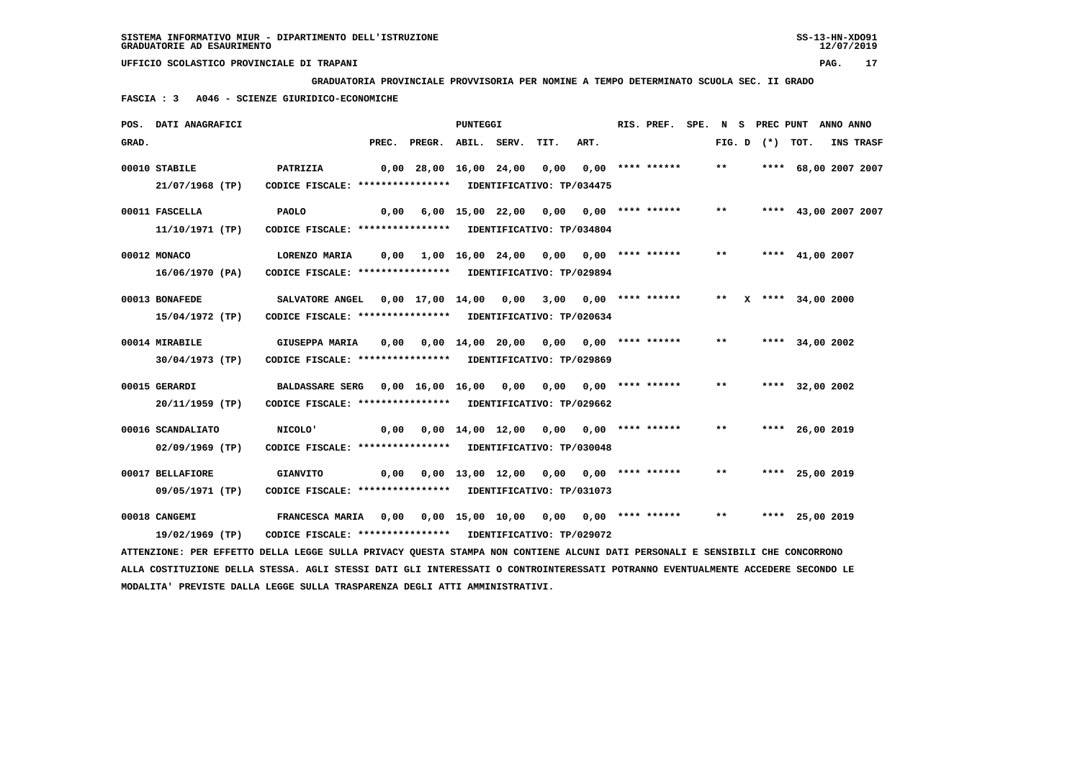**GRADUATORIA PROVINCIALE PROVVISORIA PER NOMINE A TEMPO DETERMINATO SCUOLA SEC. II GRADO**

 **FASCIA : 3 A046 - SCIENZE GIURIDICO-ECONOMICHE**

|       | POS. DATI ANAGRAFICI |                                                                                                                               |                                                   | PUNTEGGI |      |      | RIS. PREF. SPE. N S PREC PUNT ANNO ANNO |       |  |                      |                  |
|-------|----------------------|-------------------------------------------------------------------------------------------------------------------------------|---------------------------------------------------|----------|------|------|-----------------------------------------|-------|--|----------------------|------------------|
| GRAD. |                      |                                                                                                                               | PREC. PREGR. ABIL. SERV.                          |          | TIT. | ART. |                                         |       |  | FIG. D $(*)$ TOT.    | <b>INS TRASF</b> |
|       | 00010 STABILE        | <b>PATRIZIA</b>                                                                                                               | 0,00 28,00 16,00 24,00 0,00 0,00 **** ******      |          |      |      |                                         | $***$ |  | **** 68,00 2007 2007 |                  |
|       | 21/07/1968 (TP)      | CODICE FISCALE: **************** IDENTIFICATIVO: TP/034475                                                                    |                                                   |          |      |      |                                         |       |  |                      |                  |
|       | 00011 FASCELLA       | <b>PAOLO</b>                                                                                                                  | 0,00 6,00 15,00 22,00 0,00 0,00 **** ******       |          |      |      |                                         | $***$ |  | **** 43,00 2007 2007 |                  |
|       | 11/10/1971 (TP)      | CODICE FISCALE: **************** IDENTIFICATIVO: TP/034804                                                                    |                                                   |          |      |      |                                         |       |  |                      |                  |
|       | 00012 MONACO         | LORENZO MARIA                                                                                                                 |                                                   |          |      |      |                                         |       |  | ** **** 41,00 2007   |                  |
|       | 16/06/1970 (PA)      | CODICE FISCALE: **************** IDENTIFICATIVO: TP/029894                                                                    |                                                   |          |      |      |                                         |       |  |                      |                  |
|       | 00013 BONAFEDE       | SALVATORE ANGEL 0,00 17,00 14,00 0,00 3,00 0,00 **** ****** *** ** ** **** 34,00 2000                                         |                                                   |          |      |      |                                         |       |  |                      |                  |
|       | 15/04/1972 (TP)      | CODICE FISCALE: **************** IDENTIFICATIVO: TP/020634                                                                    |                                                   |          |      |      |                                         |       |  |                      |                  |
|       | 00014 MIRABILE       |                                                                                                                               |                                                   |          |      |      |                                         | $***$ |  | **** 34,00 2002      |                  |
|       | 30/04/1973 (TP)      | CODICE FISCALE: **************** IDENTIFICATIVO: TP/029869                                                                    |                                                   |          |      |      |                                         |       |  |                      |                  |
|       | 00015 GERARDI        | BALDASSARE SERG 0,00 16,00 16,00 0,00 0,00 0,00 **** ******                                                                   |                                                   |          |      |      |                                         | $***$ |  | **** 32,00 2002      |                  |
|       | 20/11/1959 (TP)      | CODICE FISCALE: **************** IDENTIFICATIVO: TP/029662                                                                    |                                                   |          |      |      |                                         |       |  |                      |                  |
|       | 00016 SCANDALIATO    | <b>NICOLO'</b>                                                                                                                | 0,00 0,00 14,00 12,00 0,00 0,00 **** ****** ** ** |          |      |      |                                         |       |  | **** 26,00 2019      |                  |
|       | 02/09/1969 (TP)      | CODICE FISCALE: **************** IDENTIFICATIVO: TP/030048                                                                    |                                                   |          |      |      |                                         |       |  |                      |                  |
|       | 00017 BELLAFIORE     | <b>GIANVITO</b>                                                                                                               |                                                   |          |      |      |                                         | $***$ |  | **** 25,00 2019      |                  |
|       | 09/05/1971 (TP)      | CODICE FISCALE: **************** IDENTIFICATIVO: TP/031073                                                                    |                                                   |          |      |      |                                         |       |  |                      |                  |
|       | 00018 CANGEMI        | FRANCESCA MARIA     0,00     0,00    15,00    10,00     0,00     0,00    **** ******                                          |                                                   |          |      |      |                                         | $***$ |  | **** 25,00 2019      |                  |
|       | 19/02/1969 (TP)      | CODICE FISCALE: **************** IDENTIFICATIVO: TP/029072                                                                    |                                                   |          |      |      |                                         |       |  |                      |                  |
|       |                      | ATTENZIONE: PER EFFETTO DELLA LEGGE SULLA PRIVACY QUESTA STAMPA NON CONTIENE ALCUNI DATI PERSONALI E SENSIBILI CHE CONCORRONO |                                                   |          |      |      |                                         |       |  |                      |                  |

 **ALLA COSTITUZIONE DELLA STESSA. AGLI STESSI DATI GLI INTERESSATI O CONTROINTERESSATI POTRANNO EVENTUALMENTE ACCEDERE SECONDO LE MODALITA' PREVISTE DALLA LEGGE SULLA TRASPARENZA DEGLI ATTI AMMINISTRATIVI.**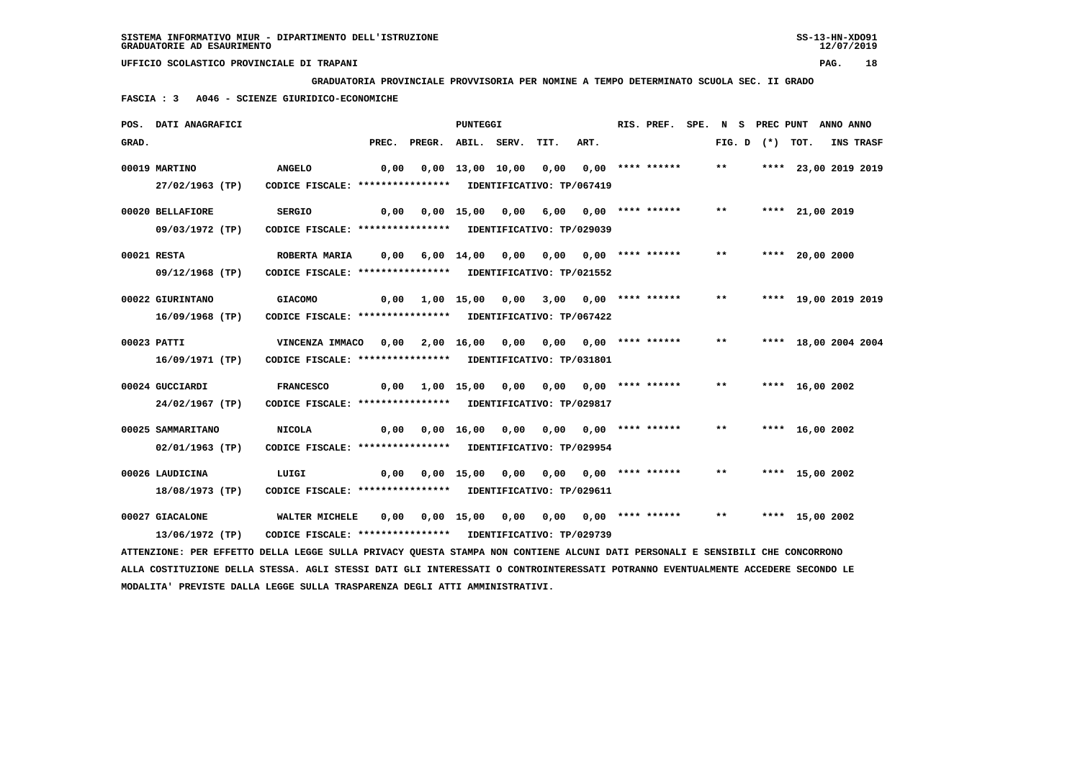**GRADUATORIA PROVINCIALE PROVVISORIA PER NOMINE A TEMPO DETERMINATO SCUOLA SEC. II GRADO**

 **FASCIA : 3 A046 - SCIENZE GIURIDICO-ECONOMICHE**

|       | POS. DATI ANAGRAFICI                                                                                                          |                                                            |      |                                                                | <b>PUNTEGGI</b>   |                                          |                       | RIS. PREF. |       |  | SPE. N S PREC PUNT ANNO ANNO |                  |
|-------|-------------------------------------------------------------------------------------------------------------------------------|------------------------------------------------------------|------|----------------------------------------------------------------|-------------------|------------------------------------------|-----------------------|------------|-------|--|------------------------------|------------------|
| GRAD. |                                                                                                                               |                                                            |      | PREC. PREGR. ABIL. SERV.                                       |                   | TIT.                                     | ART.                  |            |       |  | FIG. D $(*)$ TOT.            | <b>INS TRASF</b> |
|       | 00019 MARTINO                                                                                                                 | <b>ANGELO</b>                                              | 0,00 |                                                                |                   | $0,00$ 13,00 10,00 0,00 0,00 **** ****** |                       |            | $***$ |  | **** 23,00 2019 2019         |                  |
|       | 27/02/1963 (TP)                                                                                                               | CODICE FISCALE: **************** IDENTIFICATIVO: TP/067419 |      |                                                                |                   |                                          |                       |            |       |  |                              |                  |
|       | 00020 BELLAFIORE                                                                                                              | <b>SERGIO</b>                                              | 0,00 |                                                                | $0,00$ 15,00 0,00 |                                          | 6,00 0,00 **** ****** |            | $***$ |  | **** 21,00 2019              |                  |
|       | 09/03/1972 (TP)                                                                                                               | CODICE FISCALE: **************** IDENTIFICATIVO: TP/029039 |      |                                                                |                   |                                          |                       |            |       |  |                              |                  |
|       | 00021 RESTA                                                                                                                   | ROBERTA MARIA                                              |      | 0,00 6,00 14,00 0,00 0,00 0,00 **** ******                     |                   |                                          |                       |            | $***$ |  | **** 20,00 2000              |                  |
|       | 09/12/1968 (TP)                                                                                                               | CODICE FISCALE: **************** IDENTIFICATIVO: TP/021552 |      |                                                                |                   |                                          |                       |            |       |  |                              |                  |
|       | 00022 GIURINTANO                                                                                                              | <b>GIACOMO</b>                                             |      | $0,00$ 1,00 15,00 0,00 3,00 0,00 **** ******                   |                   |                                          |                       |            | $***$ |  | **** 19,00 2019 2019         |                  |
|       | $16/09/1968$ (TP)                                                                                                             | CODICE FISCALE: **************** IDENTIFICATIVO: TP/067422 |      |                                                                |                   |                                          |                       |            |       |  |                              |                  |
|       | 00023 PATTI                                                                                                                   | VINCENZA IMMACO                                            |      |                                                                |                   |                                          |                       |            | $***$ |  | **** 18,00 2004 2004         |                  |
|       | 16/09/1971 (TP)                                                                                                               | CODICE FISCALE: **************** IDENTIFICATIVO: TP/031801 |      |                                                                |                   |                                          |                       |            |       |  |                              |                  |
|       | 00024 GUCCIARDI                                                                                                               | <b>FRANCESCO</b>                                           |      | $0,00$ 1,00 15,00 0,00 0,00 0,00 **** ******                   |                   |                                          |                       |            | $***$ |  | **** 16,00 2002              |                  |
|       | 24/02/1967 (TP)                                                                                                               | CODICE FISCALE: **************** IDENTIFICATIVO: TP/029817 |      |                                                                |                   |                                          |                       |            |       |  |                              |                  |
|       | 00025 SAMMARITANO                                                                                                             | <b>NICOLA</b>                                              |      | $0,00$ $0,00$ $16,00$ $0,00$ $0,00$ $0,00$ $***$               |                   |                                          |                       |            | $***$ |  | **** $16,00$ 2002            |                  |
|       | 02/01/1963 (TP)                                                                                                               | CODICE FISCALE: **************** IDENTIFICATIVO: TP/029954 |      |                                                                |                   |                                          |                       |            |       |  |                              |                  |
|       | 00026 LAUDICINA                                                                                                               | LUIGI                                                      |      | 0,00 0,00 15,00 0,00                                           |                   | 0,00 0,00 **** ******                    |                       |            | $***$ |  | **** 15,00 2002              |                  |
|       | 18/08/1973 (TP)                                                                                                               | CODICE FISCALE: **************** IDENTIFICATIVO: TP/029611 |      |                                                                |                   |                                          |                       |            |       |  |                              |                  |
|       | 00027 GIACALONE                                                                                                               | WALTER MICHELE                                             |      | $0,00$ $0,00$ $15,00$ $0,00$ $0,00$ $0,00$ $***$ **** ***** ** |                   |                                          |                       |            |       |  | **** 15,00 2002              |                  |
|       | 13/06/1972 (TP)                                                                                                               | CODICE FISCALE: **************** IDENTIFICATIVO: TP/029739 |      |                                                                |                   |                                          |                       |            |       |  |                              |                  |
|       | ATTENZIONE: PER EFFETTO DELLA LEGGE SULLA PRIVACY QUESTA STAMPA NON CONTIENE ALCUNI DATI PERSONALI E SENSIBILI CHE CONCORRONO |                                                            |      |                                                                |                   |                                          |                       |            |       |  |                              |                  |

 **ALLA COSTITUZIONE DELLA STESSA. AGLI STESSI DATI GLI INTERESSATI O CONTROINTERESSATI POTRANNO EVENTUALMENTE ACCEDERE SECONDO LE MODALITA' PREVISTE DALLA LEGGE SULLA TRASPARENZA DEGLI ATTI AMMINISTRATIVI.**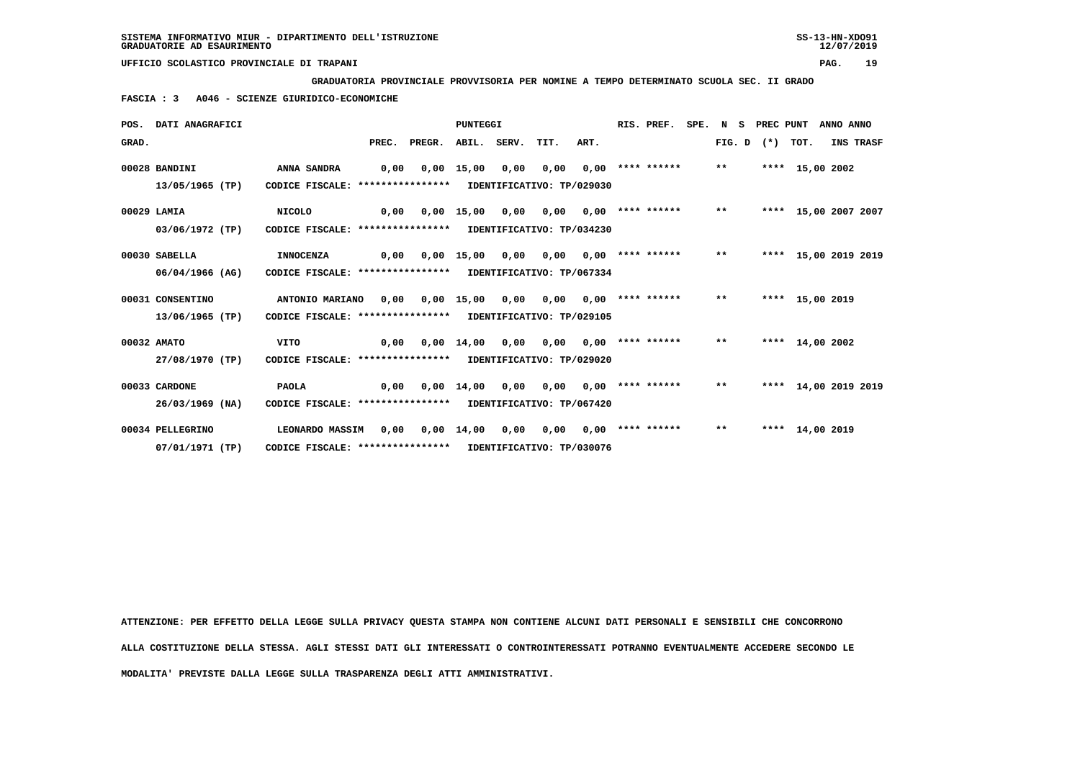**GRADUATORIA PROVINCIALE PROVVISORIA PER NOMINE A TEMPO DETERMINATO SCUOLA SEC. II GRADO**

 **FASCIA : 3 A046 - SCIENZE GIURIDICO-ECONOMICHE**

|       | POS. DATI ANAGRAFICI |                                                            |      |                               | <b>PUNTEGGI</b>    |      |                           |      | RIS. PREF.            | SPE. | N S          | PREC PUNT         |                      | ANNO ANNO |           |
|-------|----------------------|------------------------------------------------------------|------|-------------------------------|--------------------|------|---------------------------|------|-----------------------|------|--------------|-------------------|----------------------|-----------|-----------|
| GRAD. |                      |                                                            |      | PREC. PREGR. ABIL. SERV. TIT. |                    |      |                           | ART. |                       |      |              | FIG. D $(*)$ TOT. |                      |           | INS TRASF |
|       | 00028 BANDINI        | <b>ANNA SANDRA</b>                                         | 0,00 |                               | $0,00$ 15,00       | 0,00 | 0,00                      |      | $0,00$ **** ******    |      | $***$        |                   | **** 15,00 2002      |           |           |
|       | 13/05/1965 (TP)      | CODICE FISCALE: **************** IDENTIFICATIVO: TP/029030 |      |                               |                    |      |                           |      |                       |      |              |                   |                      |           |           |
|       | 00029 LAMIA          | <b>NICOLO</b>                                              | 0.00 |                               | 0,00 15,00         | 0,00 | 0.00                      |      | $0,00$ **** ******    |      | $\star\star$ |                   | **** 15,00 2007 2007 |           |           |
|       | 03/06/1972 (TP)      | CODICE FISCALE: **************** IDENTIFICATIVO: TP/034230 |      |                               |                    |      |                           |      |                       |      |              |                   |                      |           |           |
|       | 00030 SABELLA        | <b>INNOCENZA</b>                                           | 0,00 |                               | $0,00$ 15,00       | 0,00 | 0.00                      |      | $0,00$ **** ****** ** |      |              |                   | **** 15,00 2019 2019 |           |           |
|       | 06/04/1966 (AG)      | CODICE FISCALE: ****************                           |      |                               |                    |      | IDENTIFICATIVO: TP/067334 |      |                       |      |              |                   |                      |           |           |
|       | 00031 CONSENTINO     | ANTONIO MARIANO                                            | 0,00 |                               | $0,00$ 15,00       | 0,00 | 0.00                      |      | $0.00$ **** ****** ** |      |              |                   | **** 15,00 2019      |           |           |
|       | 13/06/1965 (TP)      | CODICE FISCALE: **************** IDENTIFICATIVO: TP/029105 |      |                               |                    |      |                           |      |                       |      |              |                   |                      |           |           |
|       | 00032 AMATO          | <b>VITO</b>                                                | 0.00 |                               | $0.00 \quad 14.00$ | 0,00 | 0.00                      |      | $0.00$ **** ******    |      | $***$        |                   | **** 14,00 2002      |           |           |
|       | 27/08/1970 (TP)      | CODICE FISCALE: **************** IDENTIFICATIVO: TP/029020 |      |                               |                    |      |                           |      |                       |      |              |                   |                      |           |           |
|       | 00033 CARDONE        | <b>PAOLA</b>                                               | 0,00 |                               | $0.00 \quad 14.00$ | 0,00 | 0,00                      |      | $0.00$ **** ******    |      | $***$        |                   | **** 14,00 2019 2019 |           |           |
|       | $26/03/1969$ (NA)    | CODICE FISCALE: **************** IDENTIFICATIVO: TP/067420 |      |                               |                    |      |                           |      |                       |      |              |                   |                      |           |           |
|       | 00034 PELLEGRINO     | <b>LEONARDO MASSIM</b>                                     | 0.00 |                               | $0,00 \quad 14,00$ | 0,00 | 0.00                      |      | $0,00$ **** ******    |      | $***$        |                   | **** 14,00 2019      |           |           |
|       | 07/01/1971 (TP)      | CODICE FISCALE: **************** IDENTIFICATIVO: TP/030076 |      |                               |                    |      |                           |      |                       |      |              |                   |                      |           |           |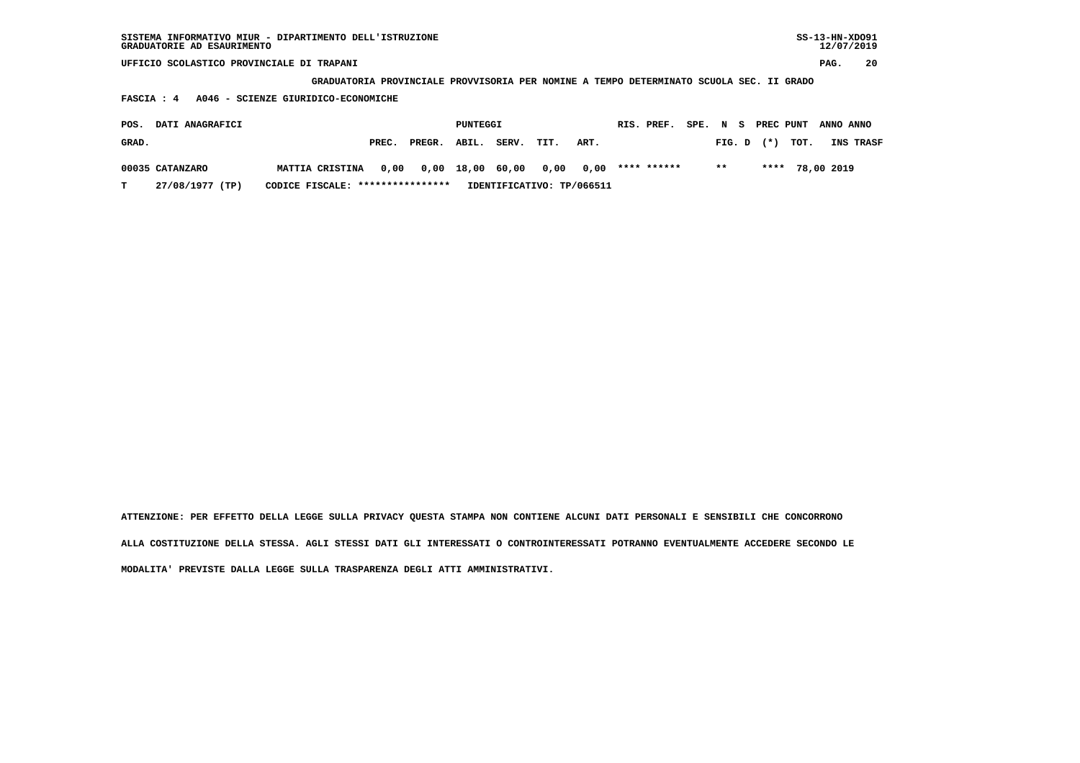| SISTEMA INFORMATIVO MIUR - DIPARTIMENTO DELL'ISTRUZIONE<br>GRADUATORIE AD ESAURIMENTO |                                                                                         |       |        |          |       |      |      |             |      |        |       |           |            | $SS-13-HN-XDO91$<br>12/07/2019 |
|---------------------------------------------------------------------------------------|-----------------------------------------------------------------------------------------|-------|--------|----------|-------|------|------|-------------|------|--------|-------|-----------|------------|--------------------------------|
| UFFICIO SCOLASTICO PROVINCIALE DI TRAPANI                                             |                                                                                         |       |        |          |       |      |      |             |      |        |       |           | PAG.       | 20                             |
|                                                                                       | GRADUATORIA PROVINCIALE PROVVISORIA PER NOMINE A TEMPO DETERMINATO SCUOLA SEC. II GRADO |       |        |          |       |      |      |             |      |        |       |           |            |                                |
| FASCIA: 4                                                                             | A046 - SCIENZE GIURIDICO-ECONOMICHE                                                     |       |        |          |       |      |      |             |      |        |       |           |            |                                |
| DATI ANAGRAFICI<br>POS.                                                               |                                                                                         |       |        | PUNTEGGI |       |      |      | RIS. PREF.  | SPE. | N<br>s |       | PREC PUNT | ANNO ANNO  |                                |
| GRAD.                                                                                 |                                                                                         | PREC. | PREGR. | ABIL.    | SERV. | TIT. | ART. |             |      | FIG. D | $(*)$ | TOT.      |            | INS TRASF                      |
| 00035 CATANZARO                                                                       | <b>MATTIA CRISTINA</b>                                                                  | 0,00  | 0,00   | 18,00    | 60,00 | 0,00 | 0,00 | **** ****** |      | $* *$  | ****  |           | 78,00 2019 |                                |

 **T 27/08/1977 (TP) CODICE FISCALE: \*\*\*\*\*\*\*\*\*\*\*\*\*\*\*\* IDENTIFICATIVO: TP/066511**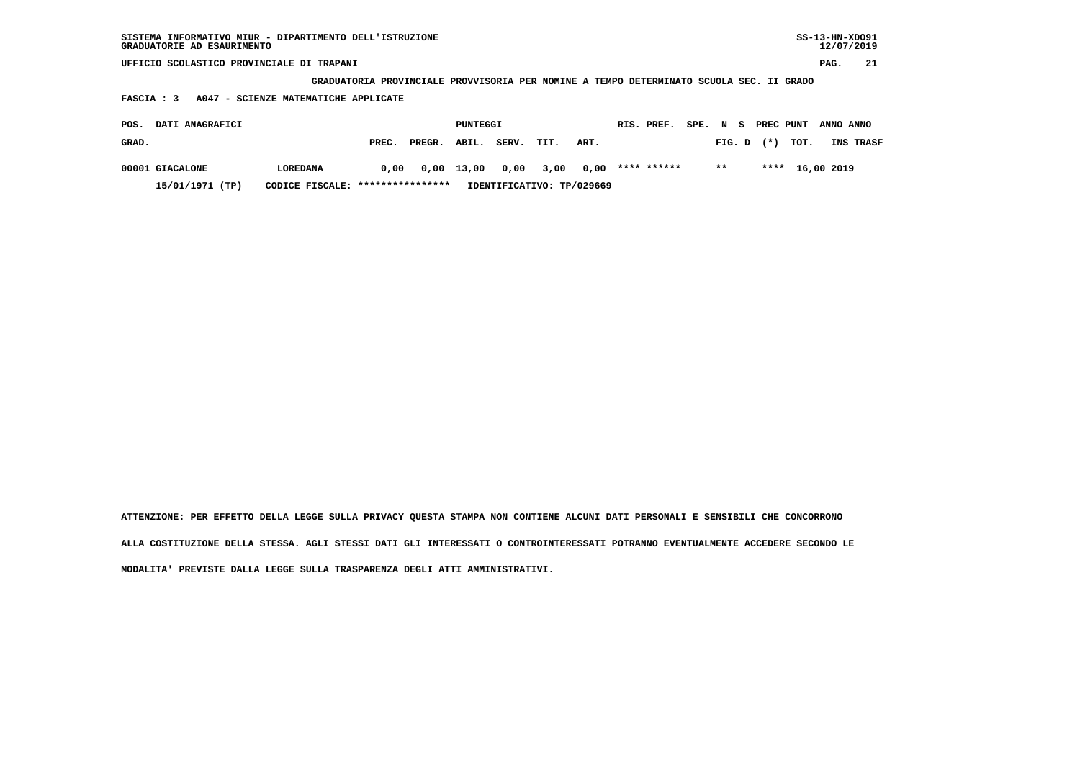**GRADUATORIA PROVINCIALE PROVVISORIA PER NOMINE A TEMPO DETERMINATO SCUOLA SEC. II GRADO**

 **FASCIA : 3 A047 - SCIENZE MATEMATICHE APPLICATE**

| POS.  | <b>DATI ANAGRAFICI</b> |                                  |       |              | PUNTEGGI |       |      |                                         | RIS. PREF. |       |  |                | SPE. N S PREC PUNT ANNO ANNO |                  |
|-------|------------------------|----------------------------------|-------|--------------|----------|-------|------|-----------------------------------------|------------|-------|--|----------------|------------------------------|------------------|
| GRAD. |                        |                                  | PREC. | PREGR. ABIL. |          | SERV. | TIT. | ART.                                    |            |       |  | $FIG. D$ $(*)$ | тот.                         | <b>INS TRASF</b> |
|       | 00001 GIACALONE        | LOREDANA                         | 0.00  |              |          |       |      | $0.00$ 13.00 0.00 3.00 0.00 **** ****** |            | $***$ |  |                | **** 16,00 2019              |                  |
|       | 15/01/1971 (TP)        | CODICE FISCALE: **************** |       |              |          |       |      | IDENTIFICATIVO: TP/029669               |            |       |  |                |                              |                  |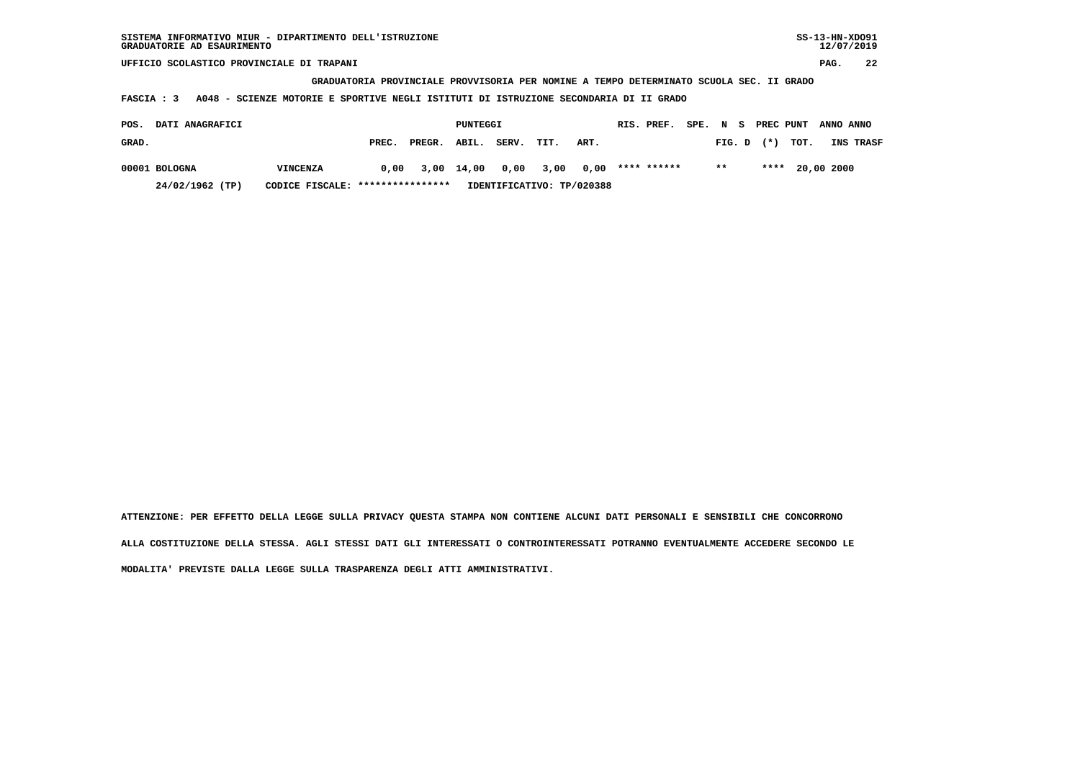**GRADUATORIA PROVINCIALE PROVVISORIA PER NOMINE A TEMPO DETERMINATO SCUOLA SEC. II GRADO**

 **FASCIA : 3 A048 - SCIENZE MOTORIE E SPORTIVE NEGLI ISTITUTI DI ISTRUZIONE SECONDARIA DI II GRADO**

| POS.  | <b>DATI ANAGRAFICI</b> |                                  |       |                           | PUNTEGGI |       |      |                           | RIS. PREF.  |       |  | SPE. N S PREC PUNT ANNO ANNO |                  |
|-------|------------------------|----------------------------------|-------|---------------------------|----------|-------|------|---------------------------|-------------|-------|--|------------------------------|------------------|
| GRAD. |                        |                                  | PREC. | PREGR. ABIL.              |          | SERV. | TIT. | ART.                      |             |       |  | FIG. D $(*)$ TOT.            | <b>INS TRASF</b> |
|       | 00001 BOLOGNA          | VINCENZA                         | 0.00  | 3,00 14,00 0,00 3,00 0,00 |          |       |      |                           | **** ****** | $***$ |  | **** 20,00 2000              |                  |
|       | 24/02/1962 (TP)        | CODICE FISCALE: **************** |       |                           |          |       |      | IDENTIFICATIVO: TP/020388 |             |       |  |                              |                  |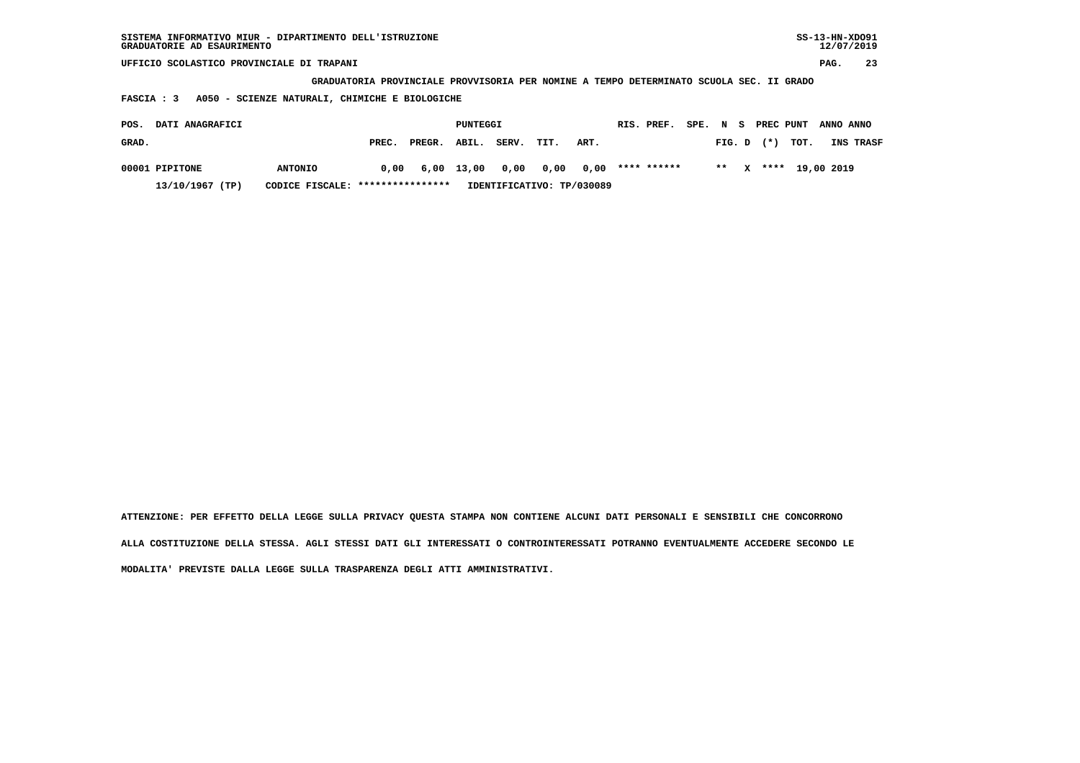| SISTEMA INFORMATIVO MIUR - DIPARTIMENTO DELL'ISTRUZIONE<br>GRADUATORIE AD ESAURIMENTO |                                                                                         |       |        |          |       |      |      |  |             |      |        |  |           |      |            | $SS-13-HN-XDO91$<br>12/07/2019 |
|---------------------------------------------------------------------------------------|-----------------------------------------------------------------------------------------|-------|--------|----------|-------|------|------|--|-------------|------|--------|--|-----------|------|------------|--------------------------------|
| UFFICIO SCOLASTICO PROVINCIALE DI TRAPANI                                             |                                                                                         |       |        |          |       |      |      |  |             |      |        |  |           |      | PAG.       | 23                             |
|                                                                                       | GRADUATORIA PROVINCIALE PROVVISORIA PER NOMINE A TEMPO DETERMINATO SCUOLA SEC. II GRADO |       |        |          |       |      |      |  |             |      |        |  |           |      |            |                                |
| A050 - SCIENZE NATURALI, CHIMICHE E BIOLOGICHE<br>FASCIA : 3                          |                                                                                         |       |        |          |       |      |      |  |             |      |        |  |           |      |            |                                |
| DATI ANAGRAFICI<br>POS.                                                               |                                                                                         |       |        | PUNTEGGI |       |      |      |  | RIS. PREF.  | SPE. | N S    |  | PREC PUNT |      | ANNO ANNO  |                                |
| GRAD.                                                                                 |                                                                                         | PREC. | PREGR. | ABIL.    | SERV. | TIT. | ART. |  |             |      | FIG. D |  | $(*)$     | TOT. |            | INS TRASF                      |
| 00001 PIPITONE                                                                        | <b>ANTONIO</b>                                                                          | 0.00  | 6,00   | 13,00    | 0,00  | 0,00 | 0,00 |  | **** ****** |      | $* *$  |  | ****      |      | 19,00 2019 |                                |

 **13/10/1967 (TP) CODICE FISCALE: \*\*\*\*\*\*\*\*\*\*\*\*\*\*\*\* IDENTIFICATIVO: TP/030089**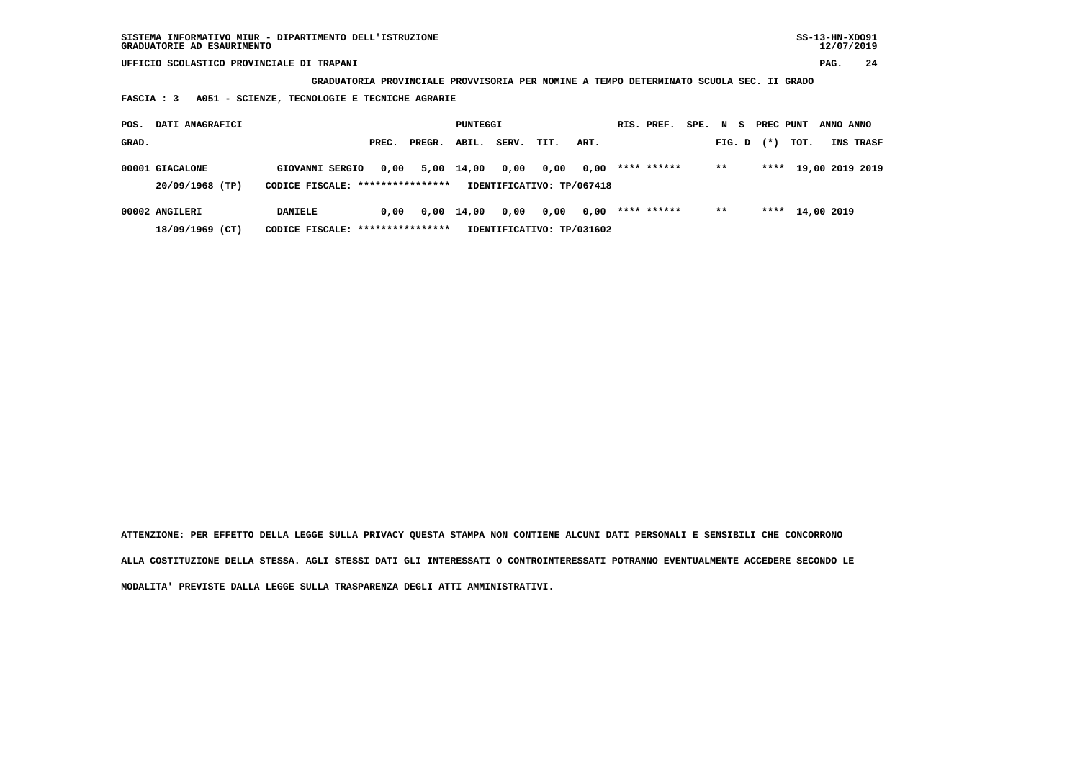**GRADUATORIA PROVINCIALE PROVVISORIA PER NOMINE A TEMPO DETERMINATO SCUOLA SEC. II GRADO**

 **FASCIA : 3 A051 - SCIENZE, TECNOLOGIE E TECNICHE AGRARIE**

| POS.  | DATI ANAGRAFICI                    |                                                     |       |        | PUNTEGGI           |       |                                   |      | RIS. PREF.  | SPE. N S | PREC PUNT |            | ANNO ANNO |                 |
|-------|------------------------------------|-----------------------------------------------------|-------|--------|--------------------|-------|-----------------------------------|------|-------------|----------|-----------|------------|-----------|-----------------|
| GRAD. |                                    |                                                     | PREC. | PREGR. | ABIL.              | SERV. | TIT.                              | ART. |             | FIG. D   | $(*)$     | тот.       |           | INS TRASF       |
|       | 00001 GIACALONE<br>20/09/1968 (TP) | GIOVANNI SERGIO<br>CODICE FISCALE: **************** | 0,00  |        | 5,00 14,00         | 0,00  | 0,00<br>IDENTIFICATIVO: TP/067418 | 0,00 | **** ****** | $***$    | ****      |            |           | 19,00 2019 2019 |
|       | 00002 ANGILERI                     | <b>DANIELE</b>                                      | 0.00  |        | $0,00 \quad 14,00$ | 0,00  | 0,00                              | 0,00 | **** ****** | $* *$    | ****      | 14,00 2019 |           |                 |
|       | 18/09/1969 (CT)                    | CODICE FISCALE: ****************                    |       |        |                    |       | IDENTIFICATIVO: TP/031602         |      |             |          |           |            |           |                 |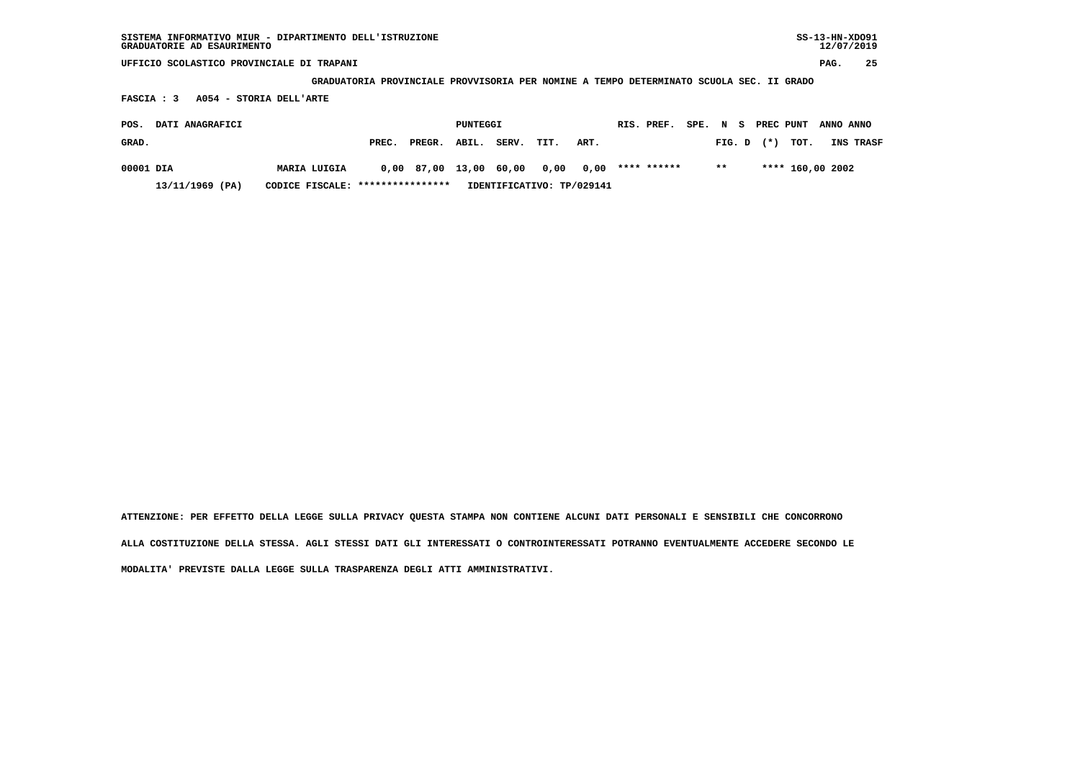| SISTEMA INFORMATIVO MIUR - DIPARTIMENTO DELL'ISTRUZIONE<br>GRADUATORIE AD ESAURIMENTO                                            |              |       |        |                 |       |      |      |             |      |         |        |                  | $SS-13-HN-XDO91$ | 12/07/2019 |
|----------------------------------------------------------------------------------------------------------------------------------|--------------|-------|--------|-----------------|-------|------|------|-------------|------|---------|--------|------------------|------------------|------------|
| UFFICIO SCOLASTICO PROVINCIALE DI TRAPANI                                                                                        |              |       |        |                 |       |      |      |             |      |         |        |                  | PAG.             | 25         |
|                                                                                                                                  |              |       |        |                 |       |      |      |             |      |         |        |                  |                  |            |
| GRADUATORIA PROVINCIALE PROVVISORIA PER NOMINE A TEMPO DETERMINATO SCUOLA SEC. II GRADO<br>A054 - STORIA DELL'ARTE<br>FASCIA : 3 |              |       |        |                 |       |      |      |             |      |         |        |                  |                  |            |
| DATI ANAGRAFICI<br>POS.                                                                                                          |              |       |        | <b>PUNTEGGI</b> |       |      |      | RIS. PREF.  | SPE. | N<br>s. |        | PREC PUNT        | ANNO ANNO        |            |
| GRAD.                                                                                                                            |              | PREC. | PREGR. | ABIL.           | SERV. | TIT. | ART. |             |      | FIG. D  | $(* )$ | TOT.             |                  | INS TRASF  |
| 00001 DIA                                                                                                                        | MARIA LUIGIA | 0,00  | 87,00  | 13,00           | 60,00 | 0,00 | 0,00 | **** ****** |      | $***$   |        | **** 160,00 2002 |                  |            |

 **13/11/1969 (PA) CODICE FISCALE: \*\*\*\*\*\*\*\*\*\*\*\*\*\*\*\* IDENTIFICATIVO: TP/029141**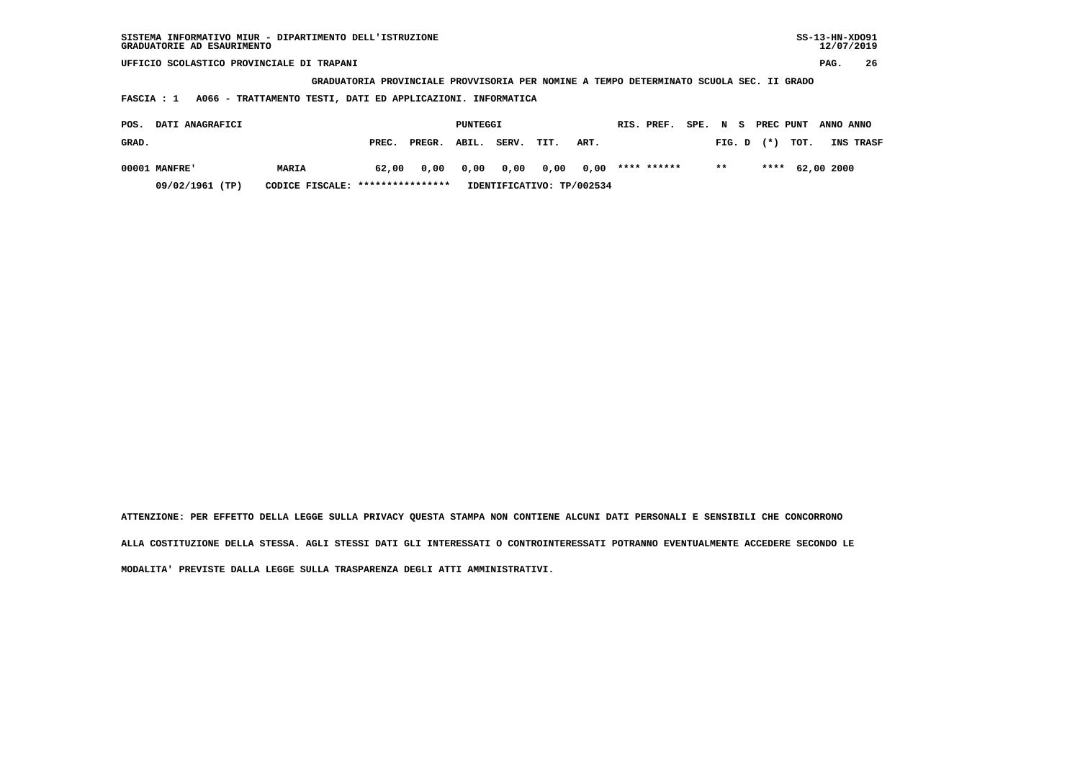| SISTEMA INFORMATIVO MIUR - DIPARTIMENTO DELL'ISTRUZIONE<br>GRADUATORIE AD ESAURIMENTO   |                 |                |              |                      |                         | $SS-13-HN-XDO91$<br>12/07/2019 |  |  |  |  |  |  |  |
|-----------------------------------------------------------------------------------------|-----------------|----------------|--------------|----------------------|-------------------------|--------------------------------|--|--|--|--|--|--|--|
| UFFICIO SCOLASTICO PROVINCIALE DI TRAPANI                                               |                 |                |              |                      |                         | 26<br>PAG.                     |  |  |  |  |  |  |  |
| GRADUATORIA PROVINCIALE PROVVISORIA PER NOMINE A TEMPO DETERMINATO SCUOLA SEC. II GRADO |                 |                |              |                      |                         |                                |  |  |  |  |  |  |  |
| A066 - TRATTAMENTO TESTI, DATI ED APPLICAZIONI. INFORMATICA<br>FASCIA : 1               |                 |                |              |                      |                         |                                |  |  |  |  |  |  |  |
| DATI ANAGRAFICI<br>POS.                                                                 |                 | PUNTEGGI       |              | RIS. PREF.<br>SPE. N | PREC PUNT<br>s          | ANNO ANNO                      |  |  |  |  |  |  |  |
|                                                                                         |                 |                |              |                      |                         |                                |  |  |  |  |  |  |  |
| GRAD.                                                                                   | PREC.<br>PREGR. | SERV.<br>ABIL. | TIT.<br>ART. |                      | TOT.<br>$(*)$<br>FIG. D | INS TRASF                      |  |  |  |  |  |  |  |
| 00001 MANFRE'<br>MARIA                                                                  | 62,00<br>0,00   | 0,00<br>0,00   | 0.00<br>0.00 | **** ******          | $* *$<br>****           | 62,00 2000                     |  |  |  |  |  |  |  |

 **09/02/1961 (TP) CODICE FISCALE: \*\*\*\*\*\*\*\*\*\*\*\*\*\*\*\* IDENTIFICATIVO: TP/002534**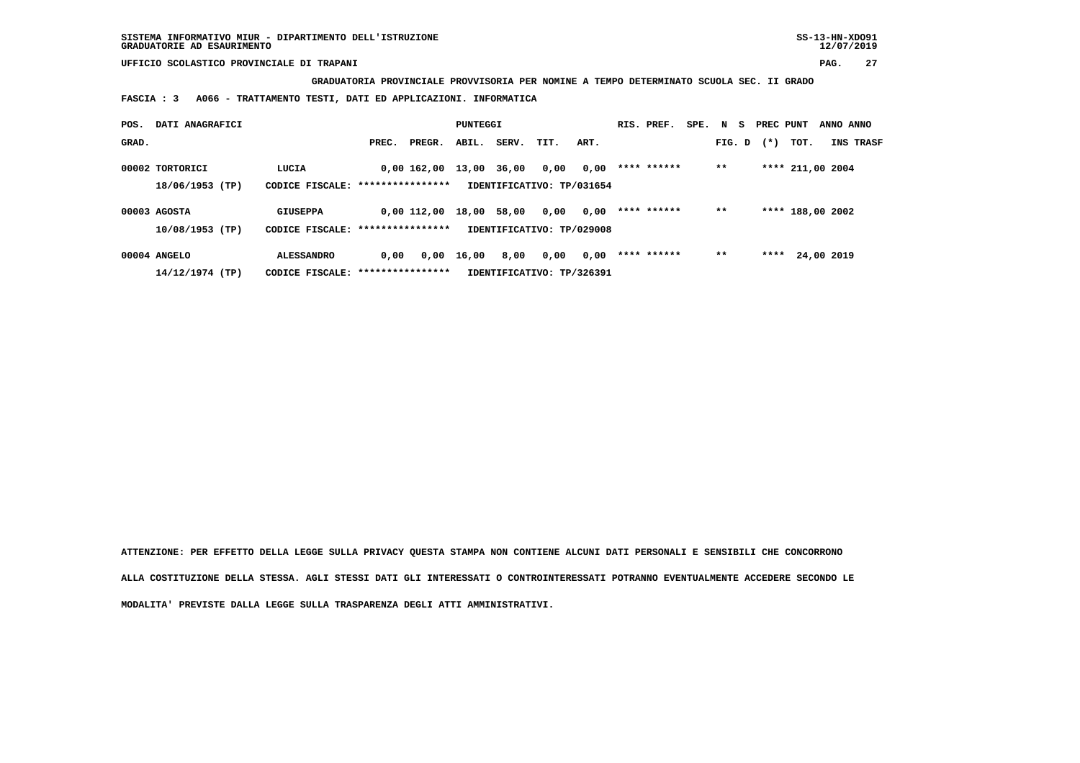**GRADUATORIA PROVINCIALE PROVVISORIA PER NOMINE A TEMPO DETERMINATO SCUOLA SEC. II GRADO**

 **FASCIA : 3 A066 - TRATTAMENTO TESTI, DATI ED APPLICAZIONI. INFORMATICA**

| POS.  | DATI ANAGRAFICI                    |                                                        |       |                   | PUNTEGGI |       |                                   |      | RIS. PREF.  | SPE. N S |        | PREC PUNT |                  | ANNO ANNO        |  |
|-------|------------------------------------|--------------------------------------------------------|-------|-------------------|----------|-------|-----------------------------------|------|-------------|----------|--------|-----------|------------------|------------------|--|
| GRAD. |                                    |                                                        | PREC. | PREGR.            | ABIL.    | SERV. | TIT.                              | ART. |             |          | FIG. D | $(*)$     | тот.             | <b>INS TRASF</b> |  |
|       | 00002 TORTORICI<br>18/06/1953 (TP) | LUCIA<br>CODICE FISCALE: ****************              |       | 0,00 162,00 13,00 |          | 36,00 | 0,00<br>IDENTIFICATIVO: TP/031654 | 0,00 | **** ****** |          | $***$  |           | **** 211,00 2004 |                  |  |
|       | 00003 AGOSTA<br>10/08/1953 (TP)    | <b>GIUSEPPA</b><br>CODICE FISCALE: *****************   |       | $0.00$ $112.00$   | 18,00    | 58,00 | 0,00<br>IDENTIFICATIVO: TP/029008 | 0,00 | **** ****** |          | $* *$  |           | **** 188,00 2002 |                  |  |
|       | 00004 ANGELO<br>14/12/1974 (TP)    | <b>ALESSANDRO</b><br>CODICE FISCALE: ***************** | 0.00  | 0,00              | 16,00    | 8,00  | 0,00<br>IDENTIFICATIVO: TP/326391 | 0,00 | **** ****** |          | $* *$  | ****      |                  | 24,00 2019       |  |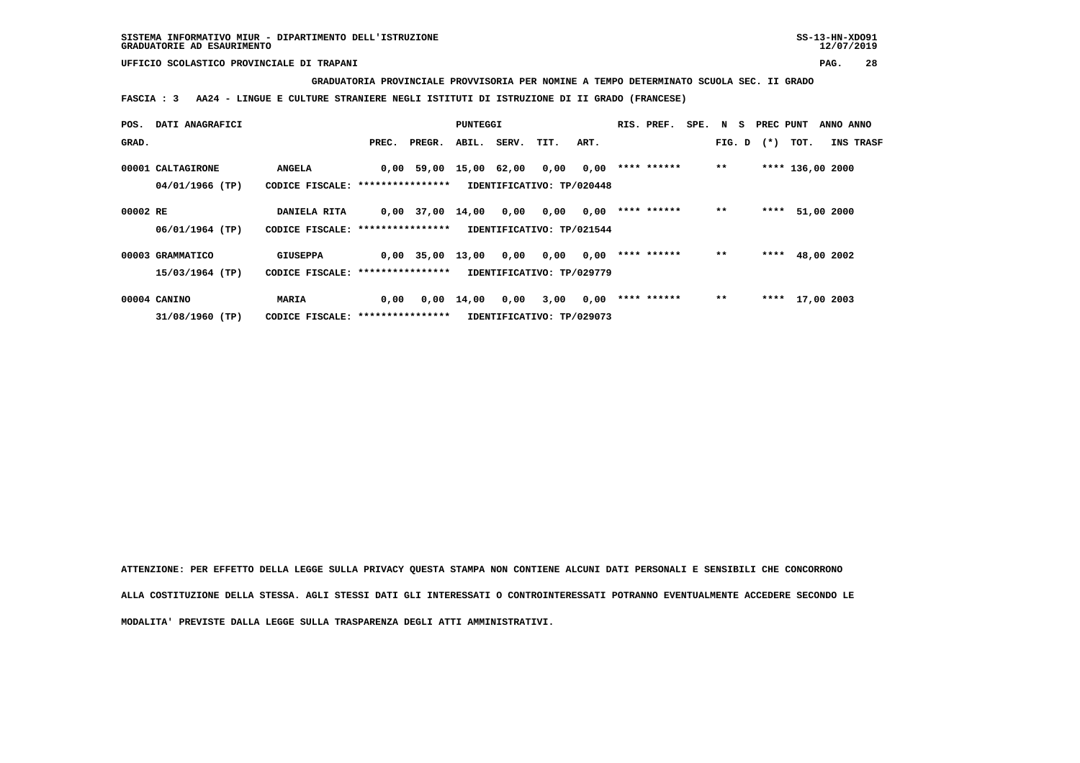## **GRADUATORIA PROVINCIALE PROVVISORIA PER NOMINE A TEMPO DETERMINATO SCUOLA SEC. II GRADO**

 **FASCIA : 3 AA24 - LINGUE E CULTURE STRANIERE NEGLI ISTITUTI DI ISTRUZIONE DI II GRADO (FRANCESE)**

| POS.     | DATI ANAGRAFICI   |                                   |       |                        | PUNTEGGI           |             |                           |      | RIS. PREF.  | SPE. N S |        | PREC PUNT |      | ANNO ANNO        |
|----------|-------------------|-----------------------------------|-------|------------------------|--------------------|-------------|---------------------------|------|-------------|----------|--------|-----------|------|------------------|
| GRAD.    |                   |                                   | PREC. | PREGR.                 |                    | ABIL. SERV. | TIT.                      | ART. |             |          | FIG. D | $(*)$     | TOT. | INS TRASF        |
|          |                   |                                   |       |                        |                    |             |                           |      |             |          |        |           |      |                  |
|          | 00001 CALTAGIRONE | <b>ANGELA</b>                     |       | 0,00 59,00 15,00 62,00 |                    |             | 0,00                      | 0,00 | **** ****** |          | $**$   |           |      | **** 136,00 2000 |
|          | 04/01/1966 (TP)   | CODICE FISCALE: ***************** |       |                        |                    |             | IDENTIFICATIVO: TP/020448 |      |             |          |        |           |      |                  |
|          |                   |                                   |       |                        |                    |             |                           |      |             |          |        |           |      |                  |
| 00002 RE |                   | DANIELA RITA                      |       | $0,00$ 37,00 14,00     |                    | 0,00        | 0,00                      | 0,00 | **** ****** |          | $**$   | ****      |      | 51,00 2000       |
|          | 06/01/1964 (TP)   | CODICE FISCALE: ***************** |       |                        |                    |             | IDENTIFICATIVO: TP/021544 |      |             |          |        |           |      |                  |
|          |                   |                                   |       |                        |                    |             |                           |      |             |          |        |           |      |                  |
|          | 00003 GRAMMATICO  | <b>GIUSEPPA</b>                   |       | $0,00$ 35,00 13,00     |                    | 0,00        | 0,00                      | 0,00 | **** ****** |          | $**$   | ****      |      | 48,00 2002       |
|          | 15/03/1964 (TP)   | CODICE FISCALE: ***************** |       |                        |                    |             | IDENTIFICATIVO: TP/029779 |      |             |          |        |           |      |                  |
|          |                   |                                   |       |                        |                    |             |                           |      |             |          |        |           |      |                  |
|          | 00004 CANINO      | MARIA                             | 0,00  |                        | $0,00 \quad 14,00$ | 0,00        | 3,00                      | 0,00 | **** ****** |          | $**$   |           |      | **** 17,00 2003  |
|          | 31/08/1960 (TP)   | CODICE FISCALE: ***************** |       |                        |                    |             | IDENTIFICATIVO: TP/029073 |      |             |          |        |           |      |                  |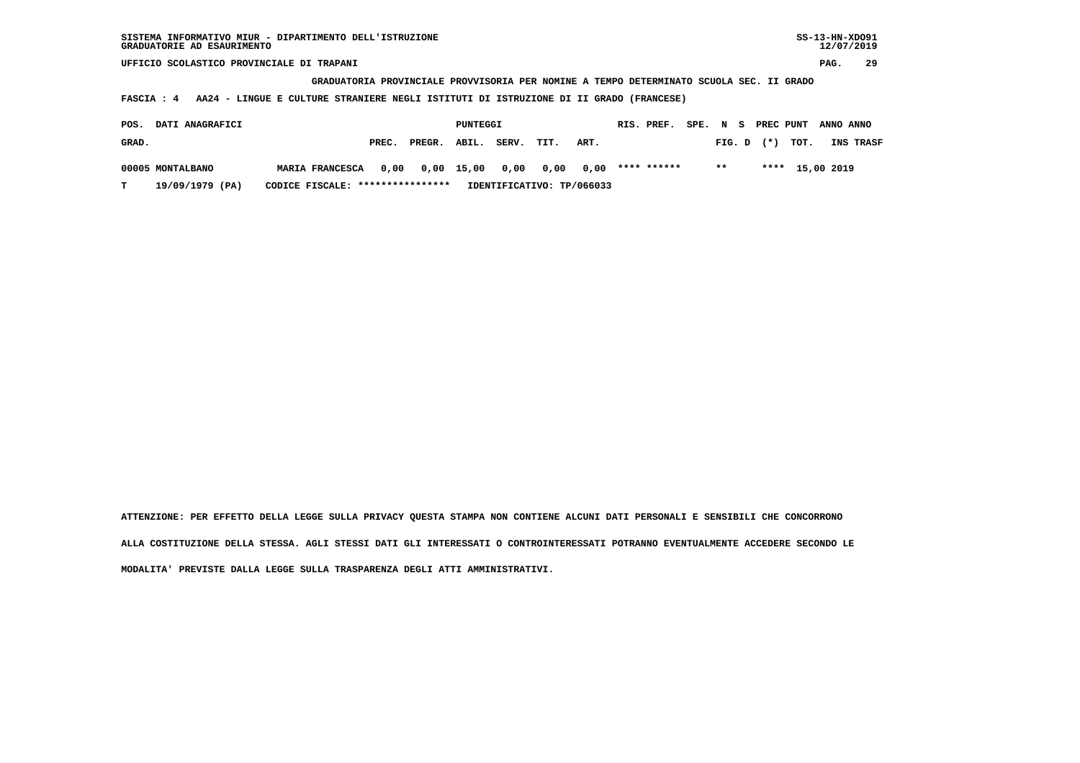**GRADUATORIA PROVINCIALE PROVVISORIA PER NOMINE A TEMPO DETERMINATO SCUOLA SEC. II GRADO**

 **FASCIA : 4 AA24 - LINGUE E CULTURE STRANIERE NEGLI ISTITUTI DI ISTRUZIONE DI II GRADO (FRANCESE)**

| POS.  | <b>DATI ANAGRAFICI</b> |                                  |       |                                                  | PUNTEGGI |       |      |                           | RIS. PREF. |               |  |                | SPE. N S PREC PUNT ANNO ANNO |                  |
|-------|------------------------|----------------------------------|-------|--------------------------------------------------|----------|-------|------|---------------------------|------------|---------------|--|----------------|------------------------------|------------------|
| GRAD. |                        |                                  | PREC. | PREGR. ABIL.                                     |          | SERV. | TIT. | ART.                      |            |               |  | $FIG. D$ $(*)$ | тот.                         | <b>INS TRASF</b> |
|       | 00005 MONTALBANO       | <b>MARIA FRANCESCA</b>           |       | $0,00$ $0,00$ $15,00$ $0,00$ $0,00$ $0,00$ $***$ |          |       |      |                           |            | $\star \star$ |  |                | **** 15,00 2019              |                  |
|       | 19/09/1979 (PA)        | CODICE FISCALE: **************** |       |                                                  |          |       |      | IDENTIFICATIVO: TP/066033 |            |               |  |                |                              |                  |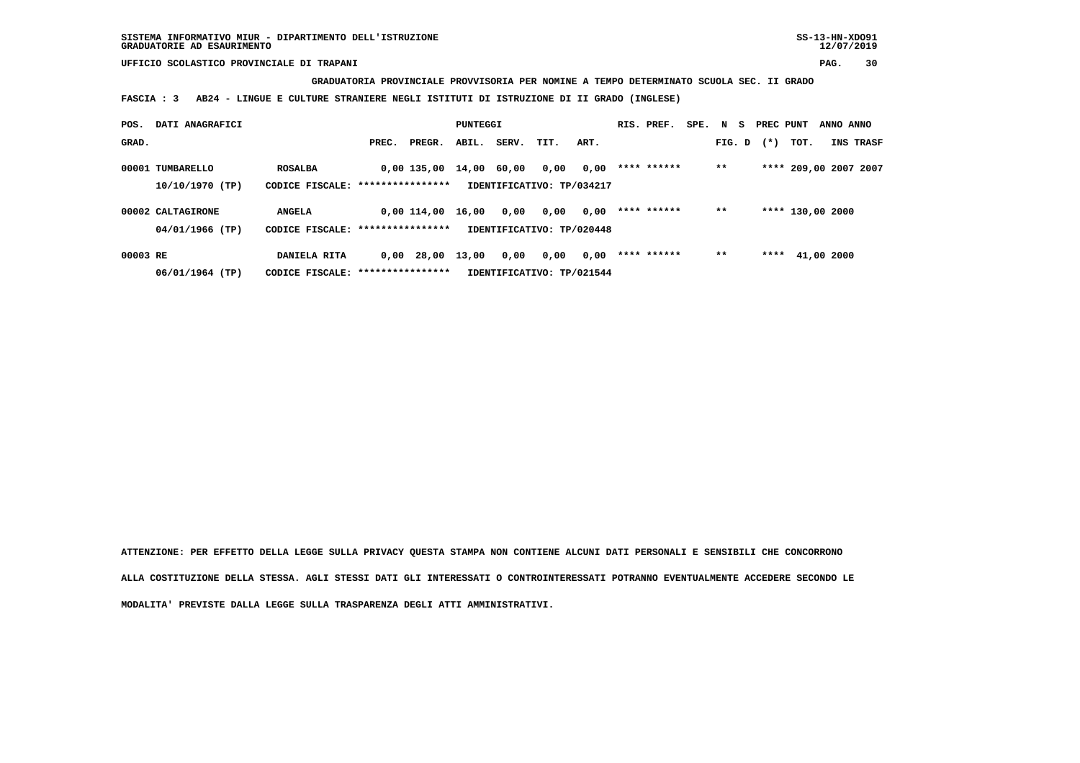**GRADUATORIA PROVINCIALE PROVVISORIA PER NOMINE A TEMPO DETERMINATO SCUOLA SEC. II GRADO**

 **FASCIA : 3 AB24 - LINGUE E CULTURE STRANIERE NEGLI ISTITUTI DI ISTRUZIONE DI II GRADO (INGLESE)**

| POS.     | DATI ANAGRAFICI   |                                   |       |              | PUNTEGGI |       |                           |      | RIS. PREF.  | SPE. N S |        | PREC PUNT |                       | ANNO ANNO |           |
|----------|-------------------|-----------------------------------|-------|--------------|----------|-------|---------------------------|------|-------------|----------|--------|-----------|-----------------------|-----------|-----------|
| GRAD.    |                   |                                   | PREC. | PREGR.       | ABIL.    | SERV. | TIT.                      | ART. |             |          | FIG. D | $(*)$     | TOT.                  |           | INS TRASF |
|          | 00001 TUMBARELLO  | <b>ROSALBA</b>                    |       | 0,00 135,00  | 14,00    | 60,00 | 0,00                      | 0,00 | **** ****** |          | $***$  |           | **** 209,00 2007 2007 |           |           |
|          | 10/10/1970 (TP)   | CODICE FISCALE: ****************  |       |              |          |       | IDENTIFICATIVO: TP/034217 |      |             |          |        |           |                       |           |           |
|          | 00002 CALTAGIRONE | <b>ANGELA</b>                     |       | 0,00 114,00  | 16,00    | 0,00  | 0,00                      | 0,00 | **** ****** |          | $* *$  |           | **** 130,00 2000      |           |           |
|          | 04/01/1966 (TP)   | CODICE FISCALE: ***************** |       |              |          |       | IDENTIFICATIVO: TP/020448 |      |             |          |        |           |                       |           |           |
| 00003 RE |                   | DANIELA RITA                      |       | $0,00$ 28,00 | 13,00    | 0,00  | 0,00                      | 0,00 | **** ****** |          | $* *$  | ****      | 41,00 2000            |           |           |
|          | 06/01/1964 (TP)   | CODICE FISCALE: ****************  |       |              |          |       | IDENTIFICATIVO: TP/021544 |      |             |          |        |           |                       |           |           |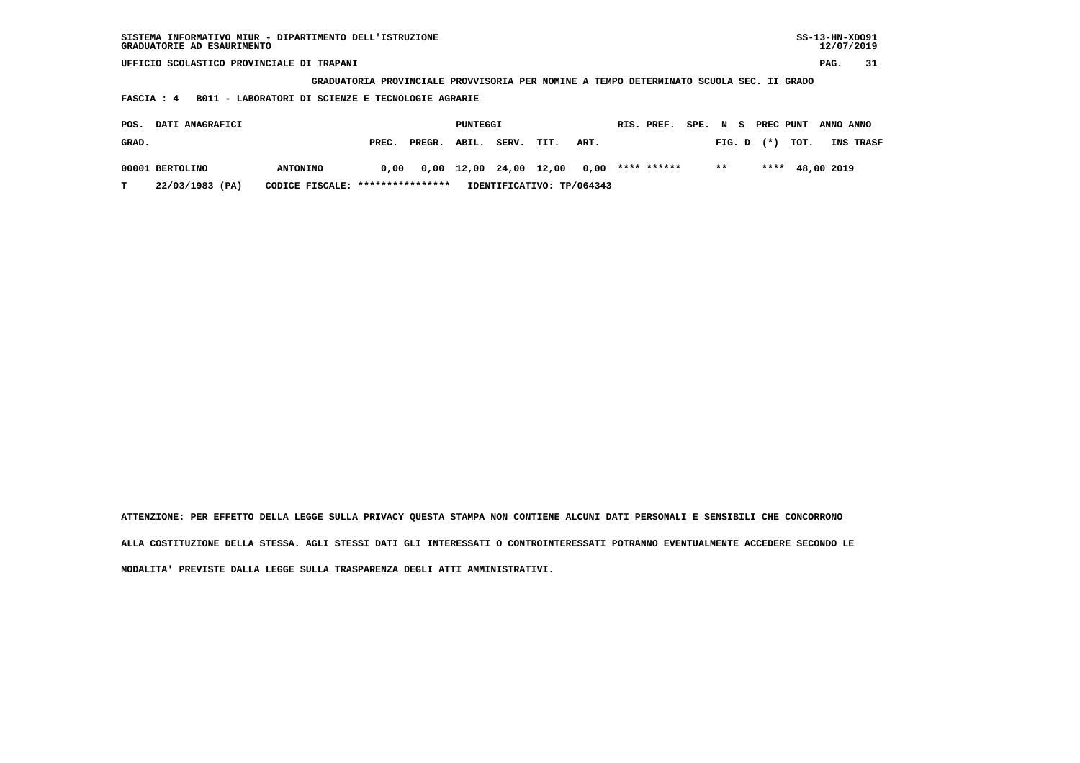| SISTEMA INFORMATIVO MIUR - DIPARTIMENTO DELL'ISTRUZIONE<br>GRADUATORIE AD ESAURIMENTO |                                                                                                                                              |        |                   |       |      |      |            |             |      |        |           |      | $SS-13-HN-XDO91$<br>12/07/2019 |           |
|---------------------------------------------------------------------------------------|----------------------------------------------------------------------------------------------------------------------------------------------|--------|-------------------|-------|------|------|------------|-------------|------|--------|-----------|------|--------------------------------|-----------|
| UFFICIO SCOLASTICO PROVINCIALE DI TRAPANI                                             |                                                                                                                                              |        |                   |       |      |      |            |             |      |        |           |      | PAG.                           | 31        |
|                                                                                       |                                                                                                                                              |        |                   |       |      |      |            |             |      |        |           |      |                                |           |
| FASCIA : 4                                                                            | GRADUATORIA PROVINCIALE PROVVISORIA PER NOMINE A TEMPO DETERMINATO SCUOLA SEC. II GRADO<br>B011 - LABORATORI DI SCIENZE E TECNOLOGIE AGRARIE |        |                   |       |      |      |            |             |      |        |           |      |                                |           |
| DATI ANAGRAFICI<br>POS.                                                               |                                                                                                                                              |        | PUNTEGGI          |       |      |      | RIS. PREF. |             | SPE. | N S    | PREC PUNT |      | ANNO ANNO                      |           |
|                                                                                       |                                                                                                                                              |        |                   |       |      |      |            |             |      |        |           |      |                                |           |
| GRAD.                                                                                 | PREC.                                                                                                                                        | PREGR. | ABIL.             | SERV. | TIT. | ART. |            |             |      | FIG. D | $(*)$     | TOT. |                                | INS TRASF |
| 00001 BERTOLINO<br><b>ANTONINO</b>                                                    | 0.00                                                                                                                                         | 0,00   | 12,00 24,00 12,00 |       |      | 0.00 |            | **** ****** |      | $* *$  | ****      |      | 48,00 2019                     |           |

 **T 22/03/1983 (PA) CODICE FISCALE: \*\*\*\*\*\*\*\*\*\*\*\*\*\*\*\* IDENTIFICATIVO: TP/064343**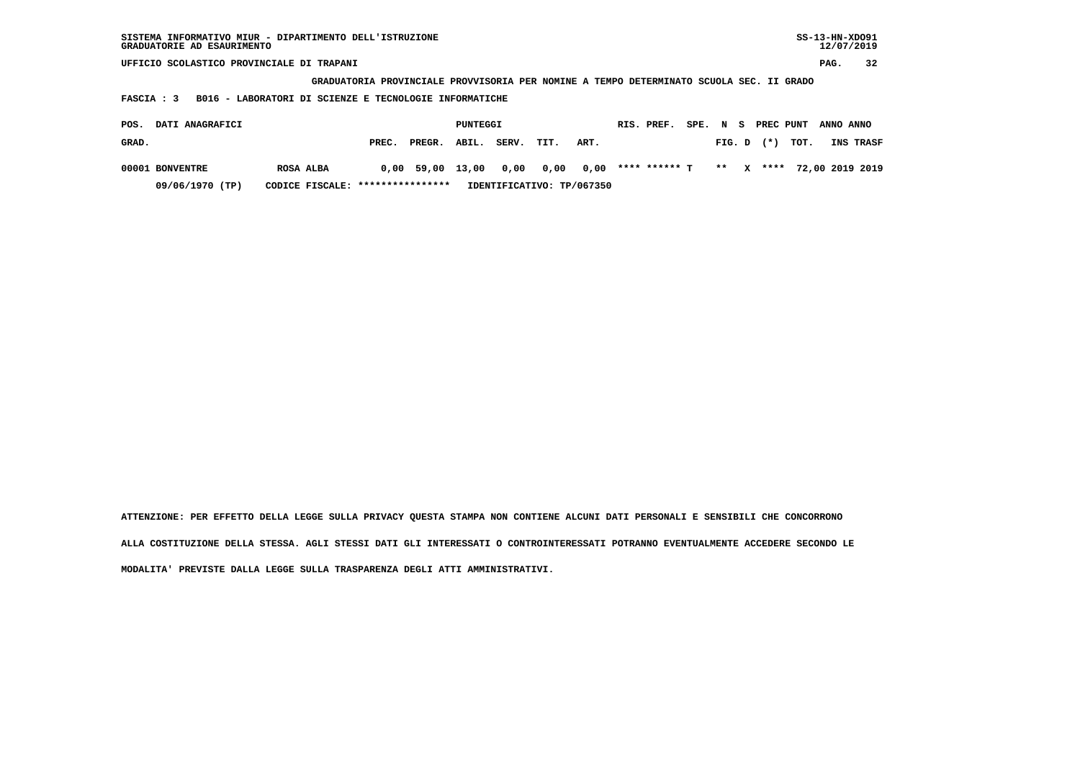| SISTEMA INFORMATIVO MIUR - DIPARTIMENTO DELL'ISTRUZIONE<br>GRADUATORIE AD ESAURIMENTO |                                                                                         |          |                           |      |      |               |          |        |        |           | $SS-13-HN-XDO91$ | 12/07/2019      |
|---------------------------------------------------------------------------------------|-----------------------------------------------------------------------------------------|----------|---------------------------|------|------|---------------|----------|--------|--------|-----------|------------------|-----------------|
| UFFICIO SCOLASTICO PROVINCIALE DI TRAPANI                                             |                                                                                         |          |                           |      |      |               |          |        |        |           | PAG.             | 32              |
|                                                                                       | GRADUATORIA PROVINCIALE PROVVISORIA PER NOMINE A TEMPO DETERMINATO SCUOLA SEC. II GRADO |          |                           |      |      |               |          |        |        |           |                  |                 |
| B016 - LABORATORI DI SCIENZE E TECNOLOGIE INFORMATICHE<br>FASCIA : 3                  |                                                                                         |          |                           |      |      |               |          |        |        |           |                  |                 |
| DATI ANAGRAFICI<br>POS.                                                               |                                                                                         | PUNTEGGI |                           |      |      | RIS. PREF.    | SPE. N S |        |        | PREC PUNT | ANNO ANNO        |                 |
|                                                                                       |                                                                                         |          |                           |      |      |               |          |        |        |           |                  |                 |
| GRAD.                                                                                 | PREC.<br>PREGR.                                                                         | ABIL.    | SERV.                     | TIT. | ART. |               |          | FIG. D | $(* )$ | TOT.      |                  | INS TRASF       |
| 00001 BONVENTRE<br>ROSA ALBA                                                          | 59,00<br>0,00                                                                           | 13,00    | 0,00                      | 0,00 | 0.00 | **** ****** T |          | $* *$  | x      | ****      |                  | 72,00 2019 2019 |
| 09/06/1970 (TP)<br>CODICE FISCALE:                                                    | ****************                                                                        |          | IDENTIFICATIVO: TP/067350 |      |      |               |          |        |        |           |                  |                 |